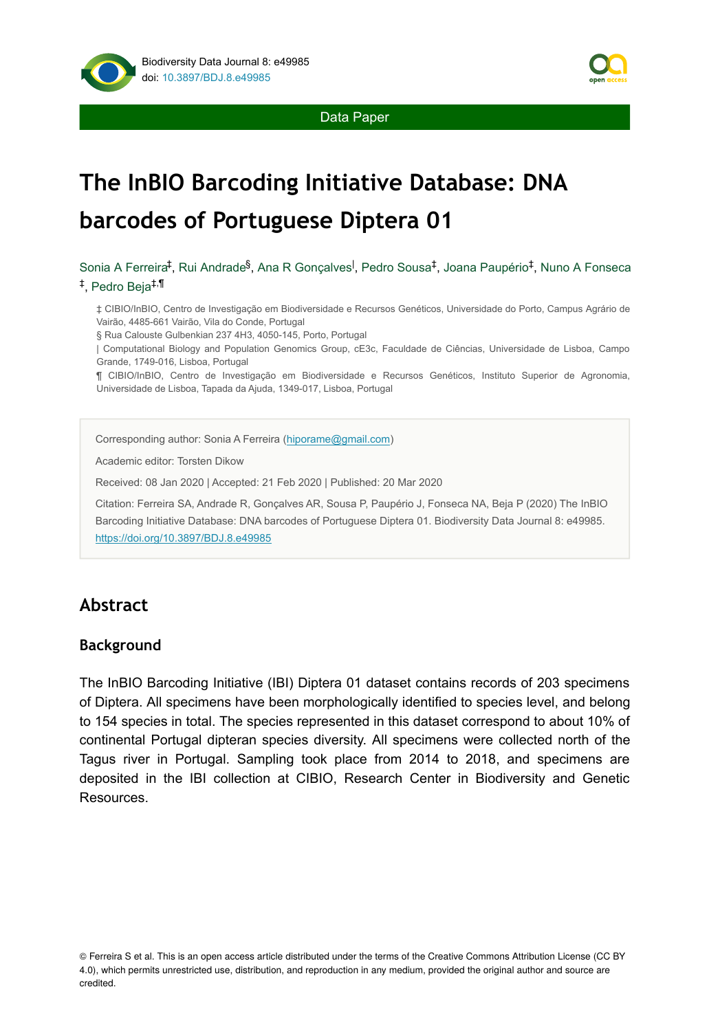

# **The InBIO Barcoding Initiative Database: DNA barcodes of Portuguese Diptera 01**

Sonia A Ferreira‡, Rui Andrade<sup>§</sup>, Ana R Gonçalves<sup>I</sup>, Pedro Sousa<sup>‡</sup>, Joana Paupério‡, Nuno A Fonseca ‡, Pedro Beja<sup>‡,¶</sup>

‡ CIBIO/InBIO, Centro de Investigação em Biodiversidade e Recursos Genéticos, Universidade do Porto, Campus Agrário de Vairão, 4485-661 Vairão, Vila do Conde, Portugal

§ Rua Calouste Gulbenkian 237 4H3, 4050-145, Porto, Portugal

| Computational Biology and Population Genomics Group, cE3c, Faculdade de Ciências, Universidade de Lisboa, Campo Grande, 1749-016, Lisboa, Portugal

¶ CIBIO/InBIO, Centro de Investigação em Biodiversidade e Recursos Genéticos, Instituto Superior de Agronomia, Universidade de Lisboa, Tapada da Ajuda, 1349-017, Lisboa, Portugal

Corresponding author: Sonia A Ferreira ([hiporame@gmail.com](mailto:hiporame@gmail.com))

Academic editor: Torsten Dikow

Received: 08 Jan 2020 | Accepted: 21 Feb 2020 | Published: 20 Mar 2020

Citation: Ferreira SA, Andrade R, Gonçalves AR, Sousa P, Paupério J, Fonseca NA, Beja P (2020) The InBIO Barcoding Initiative Database: DNA barcodes of Portuguese Diptera 01. Biodiversity Data Journal 8: e49985. <https://doi.org/10.3897/BDJ.8.e49985>

# **Abstract**

## **Background**

The InBIO Barcoding Initiative (IBI) Diptera 01 dataset contains records of 203 specimens of Diptera. All specimens have been morphologically identified to species level, and belong to 154 species in total. The species represented in this dataset correspond to about 10% of continental Portugal dipteran species diversity. All specimens were collected north of the Tagus river in Portugal. Sampling took place from 2014 to 2018, and specimens are deposited in the IBI collection at CIBIO, Research Center in Biodiversity and Genetic Resources.

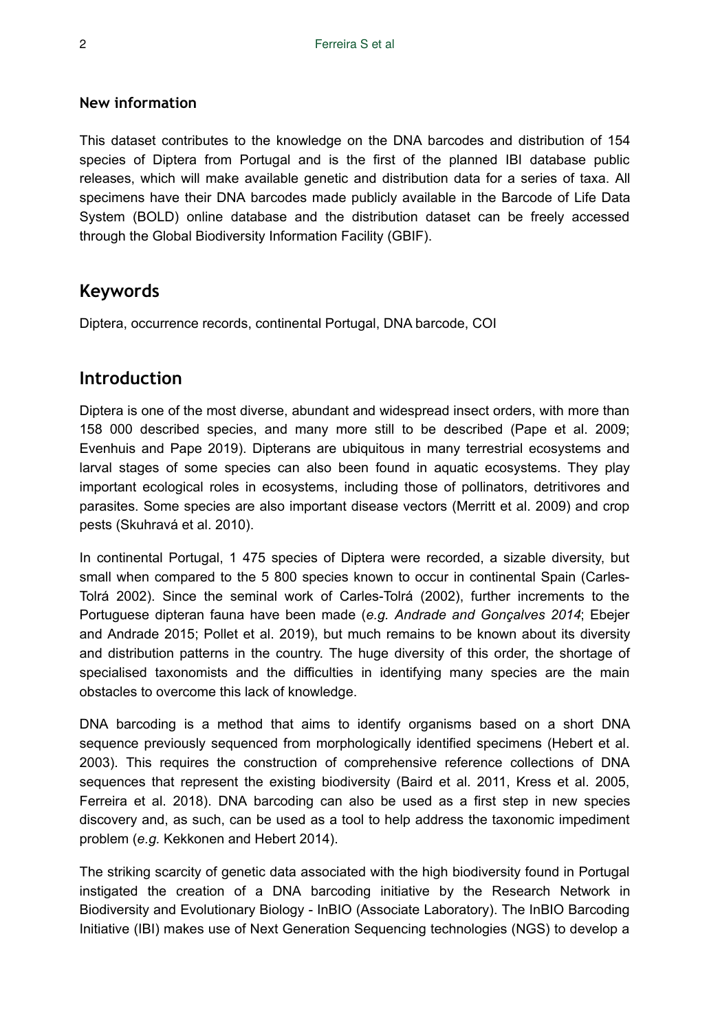## **New information**

This dataset contributes to the knowledge on the DNA barcodes and distribution of 154 species of Diptera from Portugal and is the first of the planned IBI database public releases, which will make available genetic and distribution data for a series of taxa. All specimens have their DNA barcodes made publicly available in the Barcode of Life Data System (BOLD) online database and the distribution dataset can be freely accessed through the Global Biodiversity Information Facility (GBIF).

# **Keywords**

Diptera, occurrence records, continental Portugal, DNA barcode, COI

# **Introduction**

Diptera is one of the most diverse, abundant and widespread insect orders, with more than 158 000 described species, and many more still to be described (Pape et al. 2009; Evenhuis and Pape 2019). Dipterans are ubiquitous in many terrestrial ecosystems and larval stages of some species can also been found in aquatic ecosystems. They play important ecological roles in ecosystems, including those of pollinators, detritivores and parasites. Some species are also important disease vectors (Merritt et al. 2009) and crop pests (Skuhravá et al. 2010).

In continental Portugal, 1 475 species of Diptera were recorded, a sizable diversity, but small when compared to the 5 800 species known to occur in continental Spain (Carles-Tolrá 2002). Since the seminal work of Carles-Tolrá (2002), further increments to the Portuguese dipteran fauna have been made (*e.g. Andrade and Gonçalves 2014*; Ebejer and Andrade 2015; Pollet et al. 2019), but much remains to be known about its diversity and distribution patterns in the country. The huge diversity of this order, the shortage of specialised taxonomists and the difficulties in identifying many species are the main obstacles to overcome this lack of knowledge.

DNA barcoding is a method that aims to identify organisms based on a short DNA sequence previously sequenced from morphologically identified specimens (Hebert et al. 2003). This requires the construction of comprehensive reference collections of DNA sequences that represent the existing biodiversity (Baird et al. 2011, Kress et al. 2005, Ferreira et al. 2018). DNA barcoding can also be used as a first step in new species discovery and, as such, can be used as a tool to help address the taxonomic impediment problem (*e.g.* Kekkonen and Hebert 2014).

The striking scarcity of genetic data associated with the high biodiversity found in Portugal instigated the creation of a DNA barcoding initiative by the Research Network in Biodiversity and Evolutionary Biology - InBIO (Associate Laboratory). The InBIO Barcoding Initiative (IBI) makes use of Next Generation Sequencing technologies (NGS) to develop a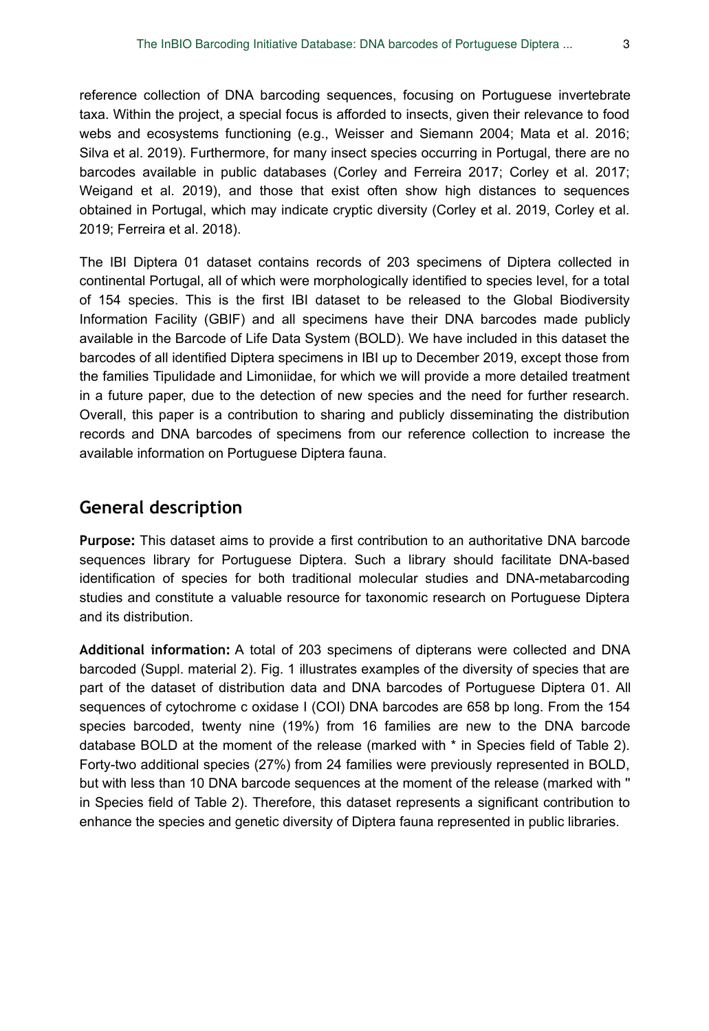reference collection of DNA barcoding sequences, focusing on Portuguese invertebrate taxa. Within the project, a special focus is afforded to insects, given their relevance to food webs and ecosystems functioning (e.g., Weisser and Siemann 2004; Mata et al. 2016; Silva et al. 2019). Furthermore, for many insect species occurring in Portugal, there are no barcodes available in public databases (Corley and Ferreira 2017; Corley et al. 2017; Weigand et al. 2019), and those that exist often show high distances to sequences obtained in Portugal, which may indicate cryptic diversity (Corley et al. 2019, Corley et al. 2019; Ferreira et al. 2018).

The IBI Diptera 01 dataset contains records of 203 specimens of Diptera collected in continental Portugal, all of which were morphologically identified to species level, for a total of 154 species. This is the first IBI dataset to be released to the Global Biodiversity Information Facility (GBIF) and all specimens have their DNA barcodes made publicly available in the Barcode of Life Data System (BOLD). We have included in this dataset the barcodes of all identified Diptera specimens in IBI up to December 2019, except those from the families Tipulidade and Limoniidae, for which we will provide a more detailed treatment in a future paper, due to the detection of new species and the need for further research. Overall, this paper is a contribution to sharing and publicly disseminating the distribution records and DNA barcodes of specimens from our reference collection to increase the available information on Portuguese Diptera fauna.

# **General description**

**Purpose:** This dataset aims to provide a first contribution to an authoritative DNA barcode sequences library for Portuguese Diptera. Such a library should facilitate DNA-based identification of species for both traditional molecular studies and DNA-metabarcoding studies and constitute a valuable resource for taxonomic research on Portuguese Diptera and its distribution.

**Additional information:** A total of 203 specimens of dipterans were collected and DNA barcoded (Suppl. material 2). Fig. 1 illustrates examples of the diversity of species that are part of the dataset of distribution data and DNA barcodes of Portuguese Diptera 01. All sequences of cytochrome c oxidase I (COI) DNA barcodes are 658 bp long. From the 154 species barcoded, twenty nine (19%) from 16 families are new to the DNA barcode database BOLD at the moment of the release (marked with \* in Species field of Table 2). Forty-two additional species (27%) from 24 families were previously represented in BOLD, but with less than 10 DNA barcode sequences at the moment of the release (marked with '' in Species field of Table 2). Therefore, this dataset represents a significant contribution to enhance the species and genetic diversity of Diptera fauna represented in public libraries.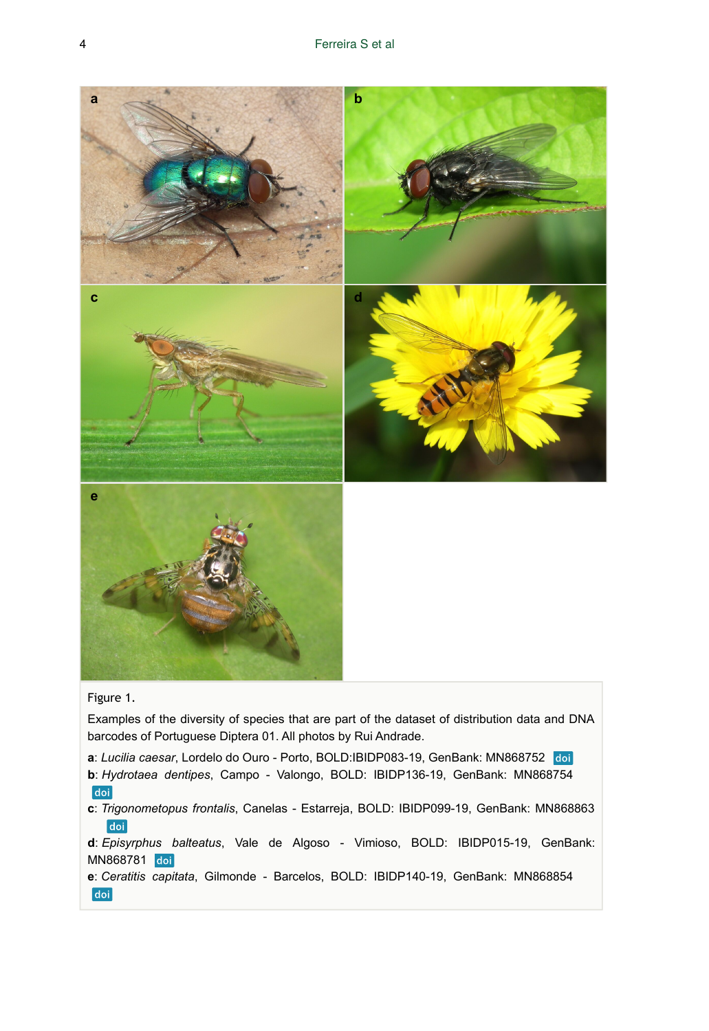

#### Figure 1.

Examples of the diversity of species that are part of the dataset of distribution data and DNA barcodes of Portuguese Diptera 01. All photos by Rui Andrade.

**a**: *Lucilia caesar*, Lordelo do Ouro - Porto, BOLD:IBIDP083-19, GenBank: MN868752

**b**: *Hydrotaea dentipes*, Campo - Valongo, BOLD: IBIDP136-19, GenBank: MN868754 doi

**c**: *Trigonometopus frontalis*, Canelas - Estarreja, BOLD: IBIDP099-19, GenBank: MN868863 doi

**d**: *Episyrphus balteatus*, Vale de Algoso - Vimioso, BOLD: IBIDP015-19, GenBank: MN868781 doi

**e**: *Ceratitis capitata*, Gilmonde - Barcelos, BOLD: IBIDP140-19, GenBank: MN868854 doi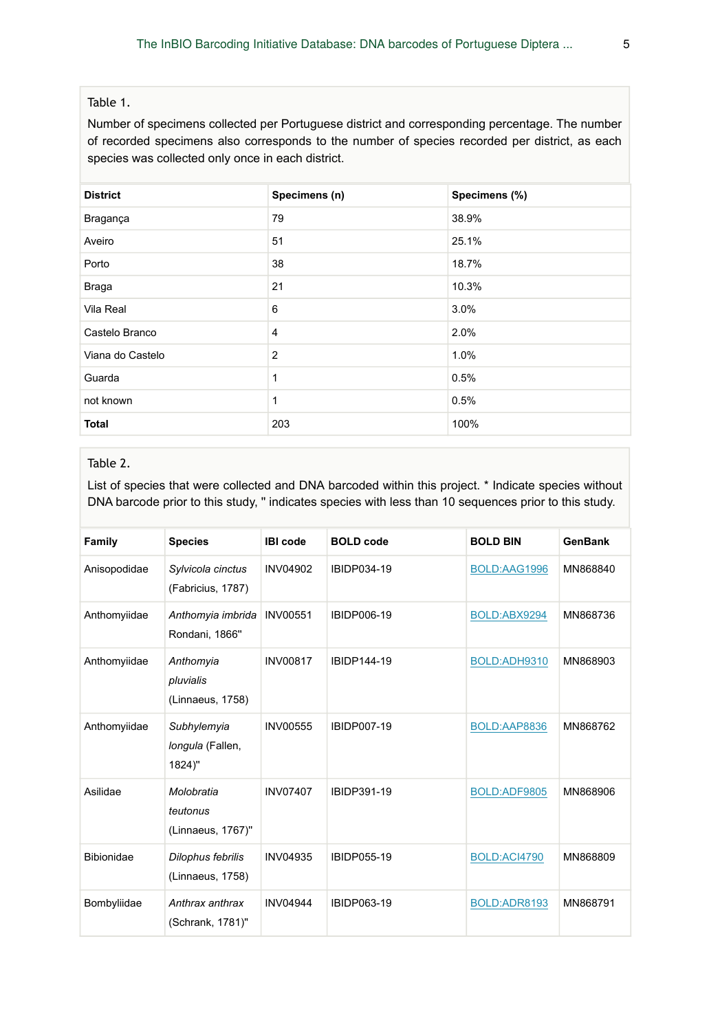## Table 1.

Number of specimens collected per Portuguese district and corresponding percentage. The number of recorded specimens also corresponds to the number of species recorded per district, as each species was collected only once in each district.

| <b>District</b>  | Specimens (n)  | Specimens (%) |
|------------------|----------------|---------------|
| Bragança         | 79             | 38.9%         |
| Aveiro           | 51             | 25.1%         |
| Porto            | 38             | 18.7%         |
| Braga            | 21             | 10.3%         |
| Vila Real        | 6              | 3.0%          |
| Castelo Branco   | $\overline{4}$ | 2.0%          |
| Viana do Castelo | $\overline{2}$ | 1.0%          |
| Guarda           | 1              | 0.5%          |
| not known        | 1              | 0.5%          |
| <b>Total</b>     | 203            | 100%          |

#### Table 2.

List of species that were collected and DNA barcoded within this project. \* Indicate species without DNA barcode prior to this study, '' indicates species with less than 10 sequences prior to this study.

| Family            | <b>Species</b>                              | <b>IBI</b> code | <b>BOLD</b> code   | <b>BOLD BIN</b> | <b>GenBank</b> |
|-------------------|---------------------------------------------|-----------------|--------------------|-----------------|----------------|
| Anisopodidae      | Sylvicola cinctus<br>(Fabricius, 1787)      | <b>INV04902</b> | IBIDP034-19        | BOLD:AAG1996    | MN868840       |
| Anthomyiidae      | Anthomyia imbrida<br>Rondani, 1866"         | <b>INV00551</b> | IBIDP006-19        | BOLD:ABX9294    | MN868736       |
| Anthomyiidae      | Anthomyia<br>pluvialis<br>(Linnaeus, 1758)  | <b>INV00817</b> | IBIDP144-19        | BOLD:ADH9310    | MN868903       |
| Anthomyiidae      | Subhylemyia<br>longula (Fallen,<br>1824)"   | <b>INV00555</b> | IBIDP007-19        | BOLD:AAP8836    | MN868762       |
| Asilidae          | Molobratia<br>teutonus<br>(Linnaeus, 1767)" | <b>INV07407</b> | IBIDP391-19        | BOLD:ADF9805    | MN868906       |
| <b>Bibionidae</b> | Dilophus febrilis<br>(Linnaeus, 1758)       | <b>INV04935</b> | <b>IBIDP055-19</b> | BOLD:ACI4790    | MN868809       |
| Bombyliidae       | Anthrax anthrax<br>(Schrank, 1781)"         | <b>INV04944</b> | <b>IBIDP063-19</b> | BOLD:ADR8193    | MN868791       |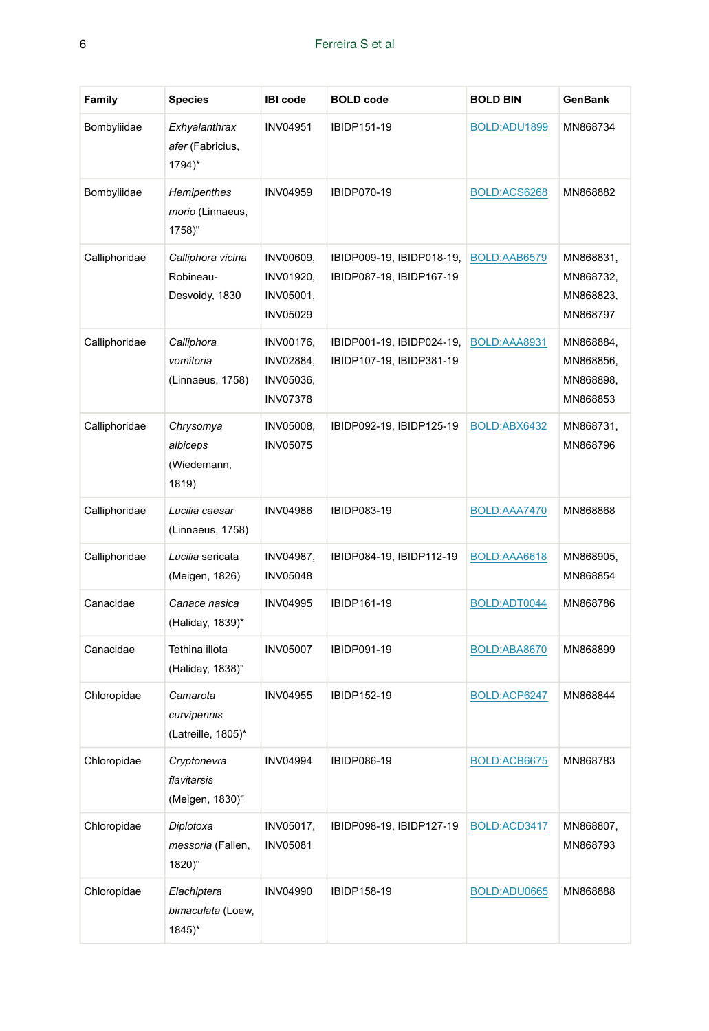| Family        | <b>Species</b>                                          | <b>IBI</b> code                                        | <b>BOLD</b> code                                      | <b>BOLD BIN</b> | <b>GenBank</b>                                  |
|---------------|---------------------------------------------------------|--------------------------------------------------------|-------------------------------------------------------|-----------------|-------------------------------------------------|
| Bombyliidae   | Exhyalanthrax<br><i>afer</i> (Fabricius,<br>1794)*      | <b>INV04951</b>                                        | IBIDP151-19                                           | BOLD:ADU1899    | MN868734                                        |
| Bombyliidae   | Hemipenthes<br>morio (Linnaeus,<br>1758)"               | INV04959                                               | <b>IBIDP070-19</b>                                    | BOLD:ACS6268    | MN868882                                        |
| Calliphoridae | Calliphora vicina<br>Robineau-<br>Desvoidy, 1830        | INV00609,<br>INV01920,<br>INV05001,<br>INV05029        | IBIDP009-19, IBIDP018-19,<br>IBIDP087-19, IBIDP167-19 | BOLD:AAB6579    | MN868831,<br>MN868732,<br>MN868823,<br>MN868797 |
| Calliphoridae | Calliphora<br>vomitoria<br>(Linnaeus, 1758)             | INV00176,<br>INV02884,<br>INV05036,<br><b>INV07378</b> | IBIDP001-19, IBIDP024-19,<br>IBIDP107-19, IBIDP381-19 | BOLD:AAA8931    | MN868884,<br>MN868856,<br>MN868898,<br>MN868853 |
| Calliphoridae | Chrysomya<br>albiceps<br>(Wiedemann,<br>1819)           | INV05008,<br><b>INV05075</b>                           | IBIDP092-19, IBIDP125-19                              | BOLD:ABX6432    | MN868731,<br>MN868796                           |
| Calliphoridae | Lucilia caesar<br>(Linnaeus, 1758)                      | <b>INV04986</b>                                        | IBIDP083-19                                           | BOLD:AAA7470    | MN868868                                        |
| Calliphoridae | Lucilia sericata<br>(Meigen, 1826)                      | INV04987,<br>INV05048                                  | IBIDP084-19, IBIDP112-19                              | BOLD:AAA6618    | MN868905,<br>MN868854                           |
| Canacidae     | Canace nasica<br>(Haliday, 1839)*                       | <b>INV04995</b>                                        | IBIDP161-19                                           | BOLD:ADT0044    | MN868786                                        |
| Canacidae     | Tethina illota<br>(Haliday, 1838)"                      | <b>INV05007</b>                                        | IBIDP091-19                                           | BOLD:ABA8670    | MN868899                                        |
| Chloropidae   | Camarota<br>curvipennis<br>(Latreille, 1805)*           | <b>INV04955</b>                                        | IBIDP152-19                                           | BOLD:ACP6247    | MN868844                                        |
| Chloropidae   | Cryptonevra<br>flavitarsis<br>(Meigen, 1830)"           | <b>INV04994</b>                                        | <b>IBIDP086-19</b>                                    | BOLD:ACB6675    | MN868783                                        |
| Chloropidae   | Diplotoxa<br>messoria (Fallen,<br>1820)"                | INV05017,<br>INV05081                                  | IBIDP098-19, IBIDP127-19                              | BOLD:ACD3417    | MN868807,<br>MN868793                           |
| Chloropidae   | Elachiptera<br>bimaculata (Loew,<br>$1845$ <sup>*</sup> | <b>INV04990</b>                                        | IBIDP158-19                                           | BOLD:ADU0665    | MN868888                                        |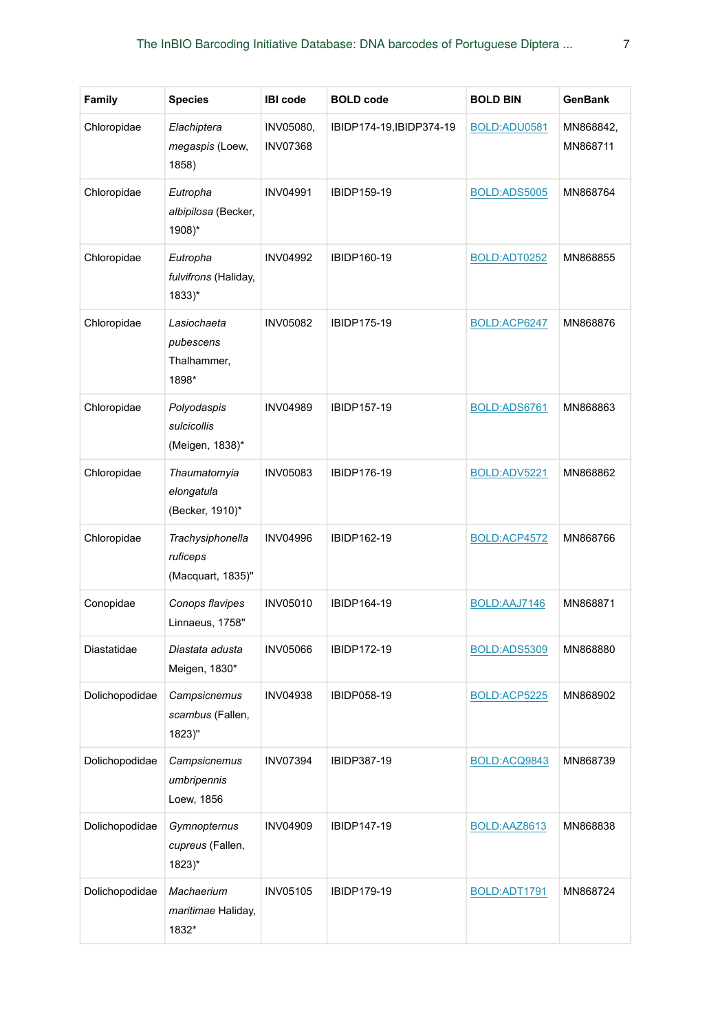| Family         | <b>Species</b>                                          | <b>IBI</b> code              | <b>BOLD</b> code         | <b>BOLD BIN</b> | GenBank               |
|----------------|---------------------------------------------------------|------------------------------|--------------------------|-----------------|-----------------------|
| Chloropidae    | Elachiptera<br>megaspis (Loew,<br>1858)                 | INV05080,<br><b>INV07368</b> | IBIDP174-19, IBIDP374-19 | BOLD:ADU0581    | MN868842,<br>MN868711 |
| Chloropidae    | Eutropha<br>albipilosa (Becker,<br>1908)*               | <b>INV04991</b>              | IBIDP159-19              | BOLD:ADS5005    | MN868764              |
| Chloropidae    | Eutropha<br>fulvifrons (Haliday,<br>$1833$ <sup>*</sup> | <b>INV04992</b>              | IBIDP160-19              | BOLD:ADT0252    | MN868855              |
| Chloropidae    | Lasiochaeta<br>pubescens<br>Thalhammer,<br>1898*        | <b>INV05082</b>              | IBIDP175-19              | BOLD:ACP6247    | MN868876              |
| Chloropidae    | Polyodaspis<br>sulcicollis<br>(Meigen, 1838)*           | <b>INV04989</b>              | <b>IBIDP157-19</b>       | BOLD:ADS6761    | MN868863              |
| Chloropidae    | Thaumatomyia<br>elongatula<br>(Becker, 1910)*           | <b>INV05083</b>              | IBIDP176-19              | BOLD:ADV5221    | MN868862              |
| Chloropidae    | Trachysiphonella<br>ruficeps<br>(Macquart, 1835)"       | <b>INV04996</b>              | IBIDP162-19              | BOLD:ACP4572    | MN868766              |
| Conopidae      | Conops flavipes<br>Linnaeus, 1758"                      | <b>INV05010</b>              | IBIDP164-19              | BOLD:AAJ7146    | MN868871              |
| Diastatidae    | Diastata adusta<br>Meigen, 1830*                        | <b>INV05066</b>              | IBIDP172-19              | BOLD:ADS5309    | MN868880              |
| Dolichopodidae | Campsicnemus<br>scambus (Fallen,<br>1823)"              | <b>INV04938</b>              | IBIDP058-19              | BOLD:ACP5225    | MN868902              |
| Dolichopodidae | Campsicnemus<br>umbripennis<br>Loew, 1856               | <b>INV07394</b>              | IBIDP387-19              | BOLD:ACQ9843    | MN868739              |
| Dolichopodidae | Gymnopternus<br>cupreus (Fallen,<br>$1823*$             | INV04909                     | IBIDP147-19              | BOLD:AAZ8613    | MN868838              |
| Dolichopodidae | Machaerium<br>maritimae Haliday,<br>1832*               | <b>INV05105</b>              | IBIDP179-19              | BOLD:ADT1791    | MN868724              |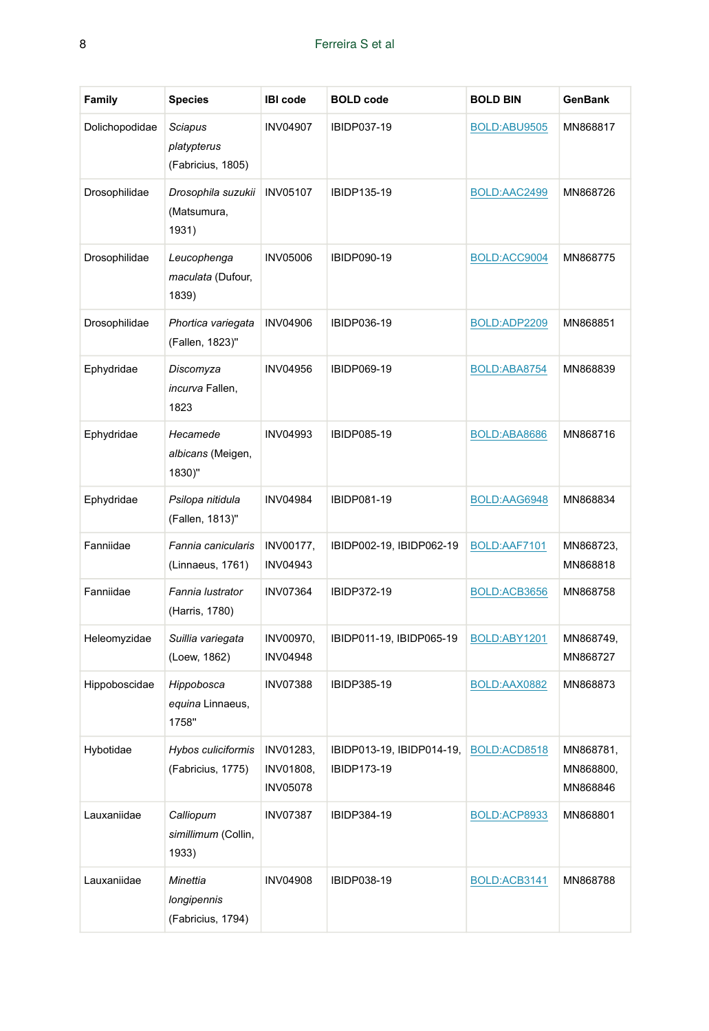| Family         | <b>Species</b>                               | <b>IBI</b> code                                  | <b>BOLD</b> code                         | <b>BOLD BIN</b> | <b>GenBank</b>                     |
|----------------|----------------------------------------------|--------------------------------------------------|------------------------------------------|-----------------|------------------------------------|
| Dolichopodidae | Sciapus<br>platypterus<br>(Fabricius, 1805)  | <b>INV04907</b>                                  | IBIDP037-19                              | BOLD:ABU9505    | MN868817                           |
| Drosophilidae  | Drosophila suzukii<br>(Matsumura,<br>1931)   | <b>INV05107</b>                                  | IBIDP135-19                              | BOLD:AAC2499    | MN868726                           |
| Drosophilidae  | Leucophenga<br>maculata (Dufour,<br>1839)    | <b>INV05006</b>                                  | <b>IBIDP090-19</b>                       | BOLD:ACC9004    | MN868775                           |
| Drosophilidae  | Phortica variegata<br>(Fallen, 1823)"        | <b>INV04906</b>                                  | IBIDP036-19                              | BOLD:ADP2209    | MN868851                           |
| Ephydridae     | Discomyza<br>incurva Fallen,<br>1823         | <b>INV04956</b>                                  | IBIDP069-19                              | BOLD:ABA8754    | MN868839                           |
| Ephydridae     | Hecamede<br>albicans (Meigen,<br>1830)"      | <b>INV04993</b>                                  | <b>IBIDP085-19</b>                       | BOLD:ABA8686    | MN868716                           |
| Ephydridae     | Psilopa nitidula<br>(Fallen, 1813)"          | <b>INV04984</b>                                  | <b>IBIDP081-19</b>                       | BOLD:AAG6948    | MN868834                           |
| Fanniidae      | Fannia canicularis<br>(Linnaeus, 1761)       | INV00177,<br><b>INV04943</b>                     | IBIDP002-19, IBIDP062-19                 | BOLD:AAF7101    | MN868723,<br>MN868818              |
| Fanniidae      | Fannia lustrator<br>(Harris, 1780)           | <b>INV07364</b>                                  | IBIDP372-19                              | BOLD:ACB3656    | MN868758                           |
| Heleomyzidae   | Suillia variegata<br>(Loew, 1862)            | INV00970,<br><b>INV04948</b>                     | IBIDP011-19, IBIDP065-19                 | BOLD:ABY1201    | MN868749,<br>MN868727              |
| Hippoboscidae  | Hippobosca<br>equina Linnaeus,<br>1758"      | <b>INV07388</b>                                  | IBIDP385-19                              | BOLD:AAX0882    | MN868873                           |
| Hybotidae      | Hybos culiciformis<br>(Fabricius, 1775)      | <b>INV01283.</b><br>INV01808,<br><b>INV05078</b> | IBIDP013-19, IBIDP014-19,<br>IBIDP173-19 | BOLD:ACD8518    | MN868781,<br>MN868800,<br>MN868846 |
| Lauxaniidae    | Calliopum<br>simillimum (Collin,<br>1933)    | <b>INV07387</b>                                  | IBIDP384-19                              | BOLD:ACP8933    | MN868801                           |
| Lauxaniidae    | Minettia<br>longipennis<br>(Fabricius, 1794) | <b>INV04908</b>                                  | IBIDP038-19                              | BOLD:ACB3141    | MN868788                           |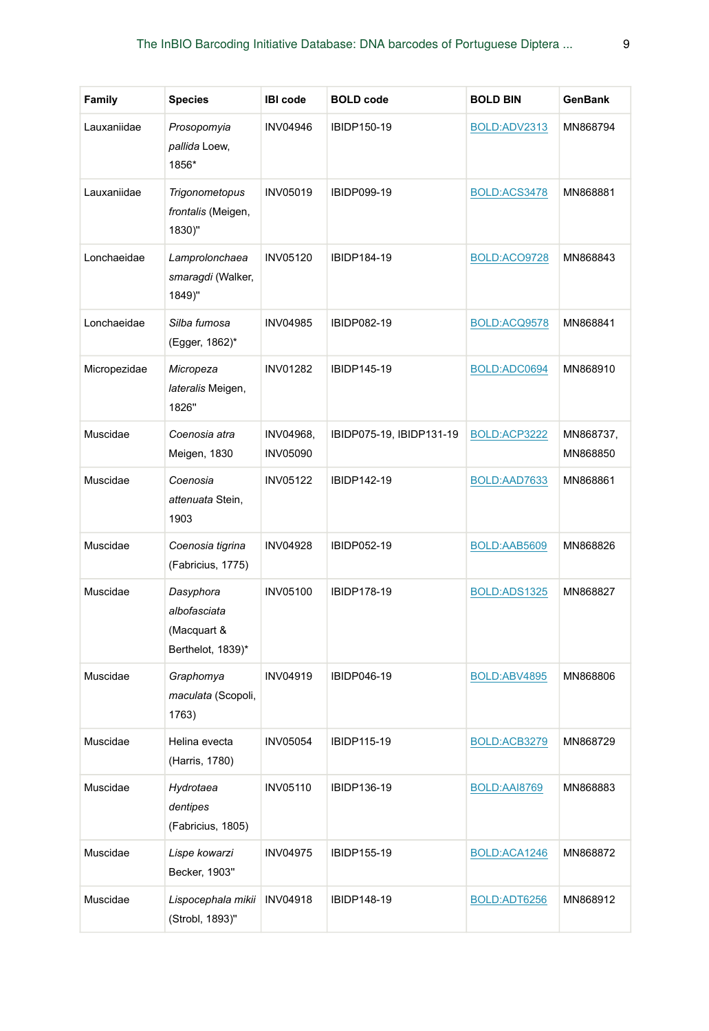| <b>Family</b> | <b>Species</b>                                                | <b>IBI</b> code              | <b>BOLD</b> code         | <b>BOLD BIN</b> | <b>GenBank</b>        |
|---------------|---------------------------------------------------------------|------------------------------|--------------------------|-----------------|-----------------------|
| Lauxaniidae   | Prosopomyia<br>pallida Loew,<br>1856*                         | <b>INV04946</b>              | IBIDP150-19              | BOLD:ADV2313    | MN868794              |
| Lauxaniidae   | Trigonometopus<br>frontalis (Meigen,<br>1830)"                | <b>INV05019</b>              | IBIDP099-19              | BOLD:ACS3478    | MN868881              |
| Lonchaeidae   | Lamprolonchaea<br>smaragdi (Walker,<br>1849)"                 | <b>INV05120</b>              | IBIDP184-19              | BOLD:ACO9728    | MN868843              |
| Lonchaeidae   | Silba fumosa<br>(Egger, 1862)*                                | <b>INV04985</b>              | IBIDP082-19              | BOLD:ACQ9578    | MN868841              |
| Micropezidae  | Micropeza<br>lateralis Meigen,<br>1826"                       | <b>INV01282</b>              | IBIDP145-19              | BOLD:ADC0694    | MN868910              |
| Muscidae      | Coenosia atra<br>Meigen, 1830                                 | INV04968,<br><b>INV05090</b> | IBIDP075-19, IBIDP131-19 | BOLD:ACP3222    | MN868737,<br>MN868850 |
| Muscidae      | Coenosia<br>attenuata Stein,<br>1903                          | <b>INV05122</b>              | IBIDP142-19              | BOLD:AAD7633    | MN868861              |
| Muscidae      | Coenosia tigrina<br>(Fabricius, 1775)                         | <b>INV04928</b>              | IBIDP052-19              | BOLD:AAB5609    | MN868826              |
| Muscidae      | Dasyphora<br>albofasciata<br>(Macquart &<br>Berthelot, 1839)* | <b>INV05100</b>              | IBIDP178-19              | BOLD:ADS1325    | MN868827              |
| Muscidae      | Graphomya<br>maculata (Scopoli,<br>1763)                      | <b>INV04919</b>              | IBIDP046-19              | BOLD:ABV4895    | MN868806              |
| Muscidae      | Helina evecta<br>(Harris, 1780)                               | <b>INV05054</b>              | IBIDP115-19              | BOLD:ACB3279    | MN868729              |
| Muscidae      | Hydrotaea<br>dentipes<br>(Fabricius, 1805)                    | <b>INV05110</b>              | IBIDP136-19              | BOLD:AAI8769    | MN868883              |
| Muscidae      | Lispe kowarzi<br>Becker, 1903"                                | <b>INV04975</b>              | IBIDP155-19              | BOLD:ACA1246    | MN868872              |
| Muscidae      | Lispocephala mikii<br>(Strobl, 1893)"                         | <b>INV04918</b>              | IBIDP148-19              | BOLD:ADT6256    | MN868912              |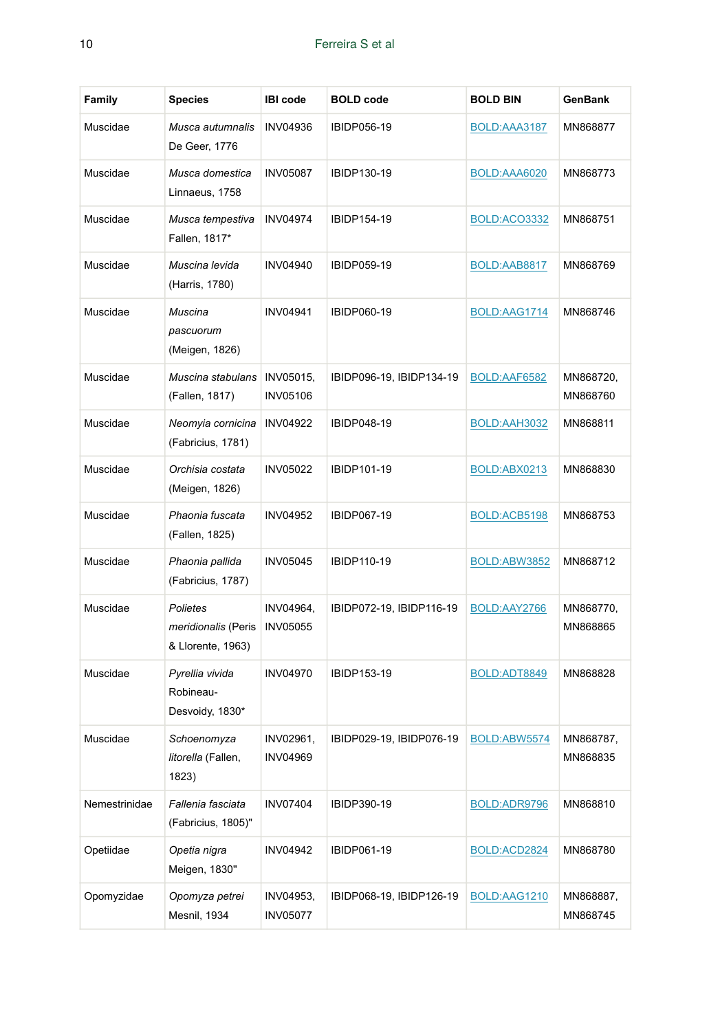| Family        | <b>Species</b>                                       | <b>IBI</b> code              | <b>BOLD</b> code         | <b>BOLD BIN</b> | GenBank               |
|---------------|------------------------------------------------------|------------------------------|--------------------------|-----------------|-----------------------|
| Muscidae      | Musca autumnalis<br>De Geer, 1776                    | <b>INV04936</b>              | IBIDP056-19              | BOLD:AAA3187    | MN868877              |
| Muscidae      | Musca domestica<br>Linnaeus, 1758                    | <b>INV05087</b>              | IBIDP130-19              | BOLD:AAA6020    | MN868773              |
| Muscidae      | Musca tempestiva<br>Fallen, 1817*                    | <b>INV04974</b>              | IBIDP154-19              | BOLD:ACO3332    | MN868751              |
| Muscidae      | Muscina levida<br>(Harris, 1780)                     | <b>INV04940</b>              | IBIDP059-19              | BOLD:AAB8817    | MN868769              |
| Muscidae      | Muscina<br>pascuorum<br>(Meigen, 1826)               | INV04941                     | IBIDP060-19              | BOLD:AAG1714    | MN868746              |
| Muscidae      | Muscina stabulans<br>(Fallen, 1817)                  | INV05015,<br><b>INV05106</b> | IBIDP096-19, IBIDP134-19 | BOLD:AAF6582    | MN868720,<br>MN868760 |
| Muscidae      | Neomyia cornicina<br>(Fabricius, 1781)               | <b>INV04922</b>              | IBIDP048-19              | BOLD:AAH3032    | MN868811              |
| Muscidae      | Orchisia costata<br>(Meigen, 1826)                   | <b>INV05022</b>              | IBIDP101-19              | BOLD:ABX0213    | MN868830              |
| Muscidae      | Phaonia fuscata<br>(Fallen, 1825)                    | <b>INV04952</b>              | <b>IBIDP067-19</b>       | BOLD:ACB5198    | MN868753              |
| Muscidae      | Phaonia pallida<br>(Fabricius, 1787)                 | <b>INV05045</b>              | IBIDP110-19              | BOLD:ABW3852    | MN868712              |
| Muscidae      | Polietes<br>meridionalis (Peris<br>& Llorente, 1963) | INV04964,<br><b>INV05055</b> | IBIDP072-19, IBIDP116-19 | BOLD:AAY2766    | MN868770,<br>MN868865 |
| Muscidae      | Pyrellia vivida<br>Robineau-<br>Desvoidy, 1830*      | <b>INV04970</b>              | IBIDP153-19              | BOLD:ADT8849    | MN868828              |
| Muscidae      | Schoenomyza<br><i>litorella</i> (Fallen,<br>1823)    | INV02961,<br><b>INV04969</b> | IBIDP029-19, IBIDP076-19 | BOLD:ABW5574    | MN868787,<br>MN868835 |
| Nemestrinidae | Fallenia fasciata<br>(Fabricius, 1805)"              | <b>INV07404</b>              | IBIDP390-19              | BOLD:ADR9796    | MN868810              |
| Opetiidae     | Opetia nigra<br>Meigen, 1830"                        | INV04942                     | IBIDP061-19              | BOLD:ACD2824    | MN868780              |
| Opomyzidae    | Opomyza petrei<br>Mesnil, 1934                       | INV04953,<br><b>INV05077</b> | IBIDP068-19, IBIDP126-19 | BOLD:AAG1210    | MN868887,<br>MN868745 |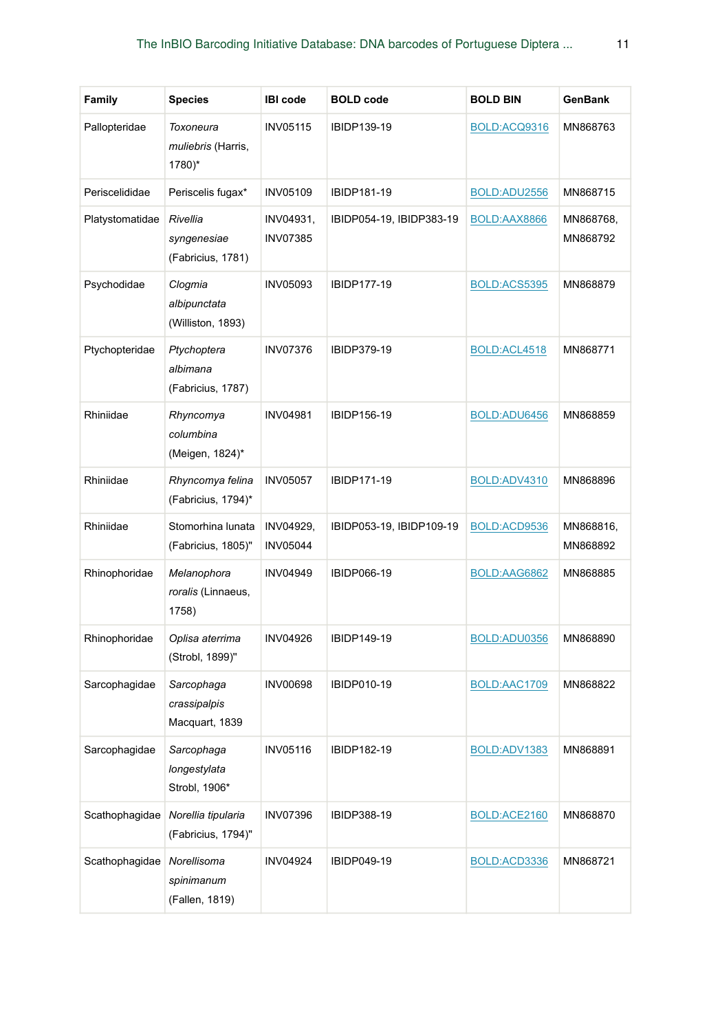| Family          | <b>Species</b>                                   | <b>IBI</b> code              | <b>BOLD</b> code         | <b>BOLD BIN</b> | GenBank               |
|-----------------|--------------------------------------------------|------------------------------|--------------------------|-----------------|-----------------------|
| Pallopteridae   | Toxoneura<br><i>muliebris</i> (Harris,<br>1780)* | <b>INV05115</b>              | IBIDP139-19              | BOLD:ACQ9316    | MN868763              |
| Periscelididae  | Periscelis fugax*                                | <b>INV05109</b>              | <b>IBIDP181-19</b>       | BOLD:ADU2556    | MN868715              |
| Platystomatidae | Rivellia<br>syngenesiae<br>(Fabricius, 1781)     | INV04931,<br><b>INV07385</b> | IBIDP054-19, IBIDP383-19 | BOLD:AAX8866    | MN868768,<br>MN868792 |
| Psychodidae     | Clogmia<br>albipunctata<br>(Williston, 1893)     | <b>INV05093</b>              | <b>IBIDP177-19</b>       | BOLD:ACS5395    | MN868879              |
| Ptychopteridae  | Ptychoptera<br>albimana<br>(Fabricius, 1787)     | <b>INV07376</b>              | IBIDP379-19              | BOLD:ACL4518    | MN868771              |
| Rhiniidae       | Rhyncomya<br>columbina<br>(Meigen, 1824)*        | <b>INV04981</b>              | IBIDP156-19              | BOLD:ADU6456    | MN868859              |
| Rhiniidae       | Rhyncomya felina<br>(Fabricius, 1794)*           | <b>INV05057</b>              | IBIDP171-19              | BOLD:ADV4310    | MN868896              |
| Rhiniidae       | Stomorhina lunata<br>(Fabricius, 1805)"          | INV04929,<br><b>INV05044</b> | IBIDP053-19, IBIDP109-19 | BOLD:ACD9536    | MN868816,<br>MN868892 |
| Rhinophoridae   | Melanophora<br>roralis (Linnaeus,<br>1758)       | <b>INV04949</b>              | IBIDP066-19              | BOLD:AAG6862    | MN868885              |
| Rhinophoridae   | Oplisa aterrima<br>(Strobl, 1899)"               | <b>INV04926</b>              | IBIDP149-19              | BOLD:ADU0356    | MN868890              |
| Sarcophagidae   | Sarcophaga<br>crassipalpis<br>Macquart, 1839     | INV00698                     | <b>IBIDP010-19</b>       | BOLD:AAC1709    | MN868822              |
| Sarcophagidae   | Sarcophaga<br>longestylata<br>Strobl, 1906*      | <b>INV05116</b>              | IBIDP182-19              | BOLD:ADV1383    | MN868891              |
| Scathophagidae  | Norellia tipularia<br>(Fabricius, 1794)"         | <b>INV07396</b>              | <b>IBIDP388-19</b>       | BOLD:ACE2160    | MN868870              |
| Scathophagidae  | Norellisoma<br>spinimanum<br>(Fallen, 1819)      | <b>INV04924</b>              | IBIDP049-19              | BOLD:ACD3336    | MN868721              |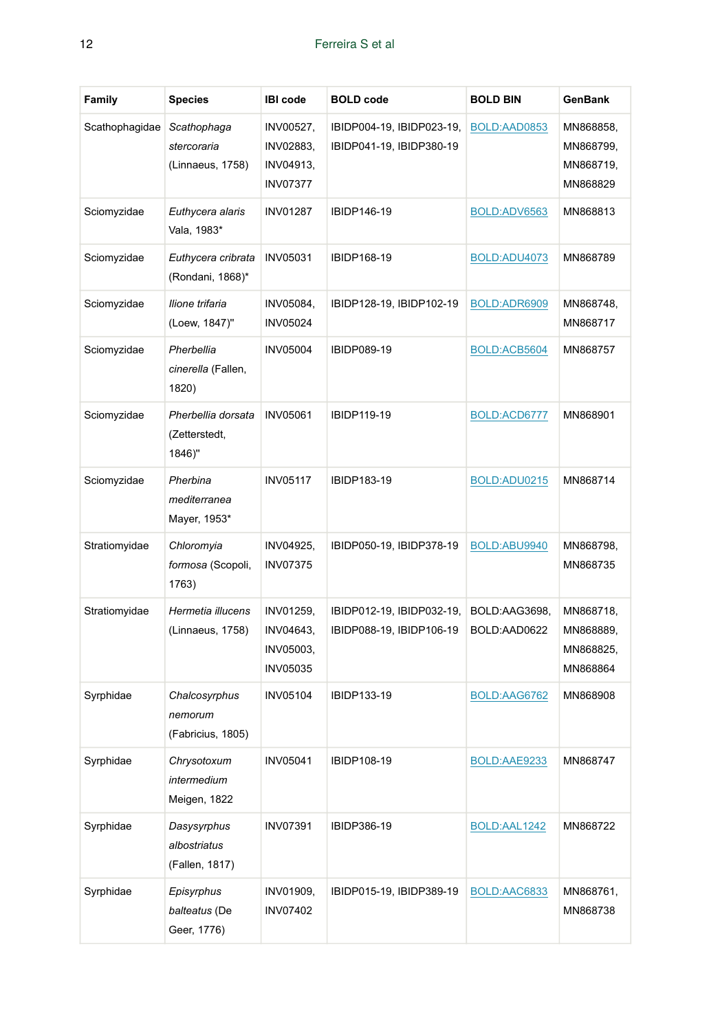| <b>Family</b>  | <b>Species</b>                                 | <b>IBI</b> code                                        | <b>BOLD</b> code                                      | <b>BOLD BIN</b>               | GenBank                                         |
|----------------|------------------------------------------------|--------------------------------------------------------|-------------------------------------------------------|-------------------------------|-------------------------------------------------|
| Scathophagidae | Scathophaga<br>stercoraria<br>(Linnaeus, 1758) | INV00527,<br>INV02883,<br>INV04913,<br><b>INV07377</b> | IBIDP004-19, IBIDP023-19,<br>IBIDP041-19, IBIDP380-19 | BOLD:AAD0853                  | MN868858,<br>MN868799,<br>MN868719,<br>MN868829 |
| Sciomyzidae    | Euthycera alaris<br>Vala, 1983*                | <b>INV01287</b>                                        | IBIDP146-19                                           | BOLD:ADV6563                  | MN868813                                        |
| Sciomyzidae    | Euthycera cribrata<br>(Rondani, 1868)*         | <b>INV05031</b>                                        | IBIDP168-19                                           | BOLD:ADU4073                  | MN868789                                        |
| Sciomyzidae    | Ilione trifaria<br>(Loew, 1847)"               | INV05084,<br><b>INV05024</b>                           | IBIDP128-19, IBIDP102-19                              | BOLD:ADR6909                  | MN868748,<br>MN868717                           |
| Sciomyzidae    | Pherbellia<br>cinerella (Fallen,<br>1820)      | <b>INV05004</b>                                        | <b>IBIDP089-19</b>                                    | BOLD:ACB5604                  | MN868757                                        |
| Sciomyzidae    | Pherbellia dorsata<br>(Zetterstedt,<br>1846)"  | <b>INV05061</b>                                        | <b>IBIDP119-19</b>                                    | BOLD:ACD6777                  | MN868901                                        |
| Sciomyzidae    | Pherbina<br>mediterranea<br>Mayer, 1953*       | <b>INV05117</b>                                        | IBIDP183-19                                           | BOLD:ADU0215                  | MN868714                                        |
| Stratiomyidae  | Chloromyia<br>formosa (Scopoli,<br>1763)       | INV04925,<br><b>INV07375</b>                           | IBIDP050-19, IBIDP378-19                              | BOLD:ABU9940                  | MN868798,<br>MN868735                           |
| Stratiomyidae  | Hermetia illucens<br>(Linnaeus, 1758)          | INV01259,<br>INV04643,<br>INV05003,<br><b>INV05035</b> | IBIDP012-19, IBIDP032-19,<br>IBIDP088-19, IBIDP106-19 | BOLD:AAG3698,<br>BOLD:AAD0622 | MN868718,<br>MN868889,<br>MN868825,<br>MN868864 |
| Syrphidae      | Chalcosyrphus<br>nemorum<br>(Fabricius, 1805)  | <b>INV05104</b>                                        | IBIDP133-19                                           | BOLD:AAG6762                  | MN868908                                        |
| Syrphidae      | Chrysotoxum<br>intermedium<br>Meigen, 1822     | <b>INV05041</b>                                        | IBIDP108-19                                           | BOLD:AAE9233                  | MN868747                                        |
| Syrphidae      | Dasysyrphus<br>albostriatus<br>(Fallen, 1817)  | <b>INV07391</b>                                        | IBIDP386-19                                           | BOLD:AAL1242                  | MN868722                                        |
| Syrphidae      | Episyrphus<br>balteatus (De<br>Geer, 1776)     | <b>INV01909,</b><br><b>INV07402</b>                    | IBIDP015-19, IBIDP389-19                              | BOLD:AAC6833                  | MN868761,<br>MN868738                           |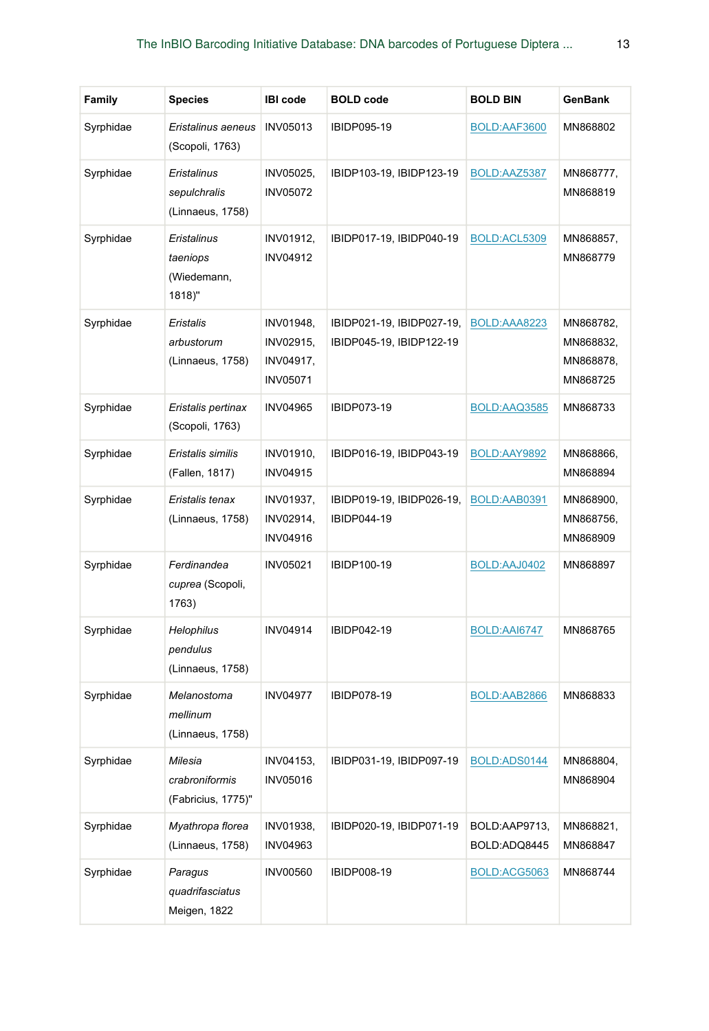| <b>Family</b> | <b>Species</b>                                   | <b>IBI</b> code                                        | <b>BOLD</b> code                                      | <b>BOLD BIN</b>               | GenBank                                         |
|---------------|--------------------------------------------------|--------------------------------------------------------|-------------------------------------------------------|-------------------------------|-------------------------------------------------|
| Syrphidae     | Eristalinus aeneus<br>(Scopoli, 1763)            | <b>INV05013</b>                                        | IBIDP095-19                                           | BOLD:AAF3600                  | MN868802                                        |
| Syrphidae     | Eristalinus<br>sepulchralis<br>(Linnaeus, 1758)  | INV05025,<br><b>INV05072</b>                           | IBIDP103-19, IBIDP123-19                              | BOLD:AAZ5387                  | MN868777,<br>MN868819                           |
| Syrphidae     | Eristalinus<br>taeniops<br>(Wiedemann,<br>1818)" | INV01912,<br>INV04912                                  | IBIDP017-19, IBIDP040-19                              | BOLD:ACL5309                  | MN868857,<br>MN868779                           |
| Syrphidae     | Eristalis<br>arbustorum<br>(Linnaeus, 1758)      | INV01948,<br>INV02915,<br>INV04917,<br><b>INV05071</b> | IBIDP021-19, IBIDP027-19,<br>IBIDP045-19, IBIDP122-19 | BOLD:AAA8223                  | MN868782,<br>MN868832,<br>MN868878,<br>MN868725 |
| Syrphidae     | Eristalis pertinax<br>(Scopoli, 1763)            | <b>INV04965</b>                                        | IBIDP073-19                                           | BOLD:AAQ3585                  | MN868733                                        |
| Syrphidae     | Eristalis similis<br>(Fallen, 1817)              | INV01910,<br><b>INV04915</b>                           | IBIDP016-19, IBIDP043-19                              | BOLD:AAY9892                  | MN868866,<br>MN868894                           |
| Syrphidae     | Eristalis tenax<br>(Linnaeus, 1758)              | INV01937,<br>INV02914,<br><b>INV04916</b>              | IBIDP019-19, IBIDP026-19,<br>IBIDP044-19              | BOLD:AAB0391                  | MN868900,<br>MN868756,<br>MN868909              |
| Syrphidae     | Ferdinandea<br>cuprea (Scopoli,<br>1763)         | <b>INV05021</b>                                        | IBIDP100-19                                           | BOLD:AAJ0402                  | MN868897                                        |
| Syrphidae     | Helophilus<br>pendulus<br>(Linnaeus, 1758)       | <b>INV04914</b>                                        | IBIDP042-19                                           | BOLD:AAI6747                  | MN868765                                        |
| Syrphidae     | Melanostoma<br>mellinum<br>(Linnaeus, 1758)      | <b>INV04977</b>                                        | <b>IBIDP078-19</b>                                    | BOLD:AAB2866                  | MN868833                                        |
| Syrphidae     | Milesia<br>crabroniformis<br>(Fabricius, 1775)"  | INV04153,<br><b>INV05016</b>                           | IBIDP031-19, IBIDP097-19                              | BOLD:ADS0144                  | MN868804,<br>MN868904                           |
| Syrphidae     | Myathropa florea<br>(Linnaeus, 1758)             | INV01938,<br>INV04963                                  | IBIDP020-19, IBIDP071-19                              | BOLD:AAP9713,<br>BOLD:ADQ8445 | MN868821,<br>MN868847                           |
| Syrphidae     | Paragus<br>quadrifasciatus<br>Meigen, 1822       | <b>INV00560</b>                                        | <b>IBIDP008-19</b>                                    | BOLD:ACG5063                  | MN868744                                        |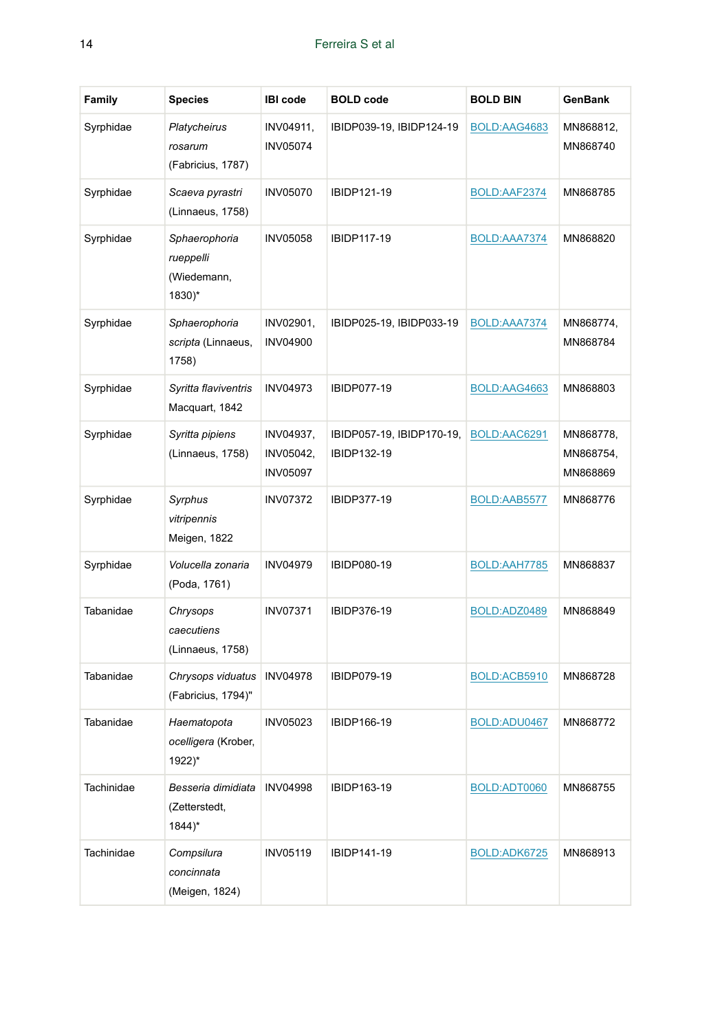| <b>Family</b> | <b>Species</b>                                             | <b>IBI</b> code                           | <b>BOLD</b> code                         | <b>BOLD BIN</b> | GenBank                            |
|---------------|------------------------------------------------------------|-------------------------------------------|------------------------------------------|-----------------|------------------------------------|
| Syrphidae     | Platycheirus<br>rosarum<br>(Fabricius, 1787)               | INV04911,<br><b>INV05074</b>              | IBIDP039-19, IBIDP124-19                 | BOLD:AAG4683    | MN868812,<br>MN868740              |
| Syrphidae     | Scaeva pyrastri<br>(Linnaeus, 1758)                        | <b>INV05070</b>                           | IBIDP121-19                              | BOLD:AAF2374    | MN868785                           |
| Syrphidae     | Sphaerophoria<br>rueppelli<br>(Wiedemann,<br>1830)*        | <b>INV05058</b>                           | IBIDP117-19                              | BOLD:AAA7374    | MN868820                           |
| Syrphidae     | Sphaerophoria<br>scripta (Linnaeus,<br>1758)               | INV02901,<br><b>INV04900</b>              | IBIDP025-19, IBIDP033-19                 | BOLD:AAA7374    | MN868774,<br>MN868784              |
| Syrphidae     | Syritta flaviventris<br>Macquart, 1842                     | <b>INV04973</b>                           | <b>IBIDP077-19</b>                       | BOLD:AAG4663    | MN868803                           |
| Syrphidae     | Syritta pipiens<br>(Linnaeus, 1758)                        | INV04937,<br>INV05042,<br><b>INV05097</b> | IBIDP057-19, IBIDP170-19,<br>IBIDP132-19 | BOLD:AAC6291    | MN868778,<br>MN868754,<br>MN868869 |
| Syrphidae     | Syrphus<br>vitripennis<br>Meigen, 1822                     | <b>INV07372</b>                           | IBIDP377-19                              | BOLD:AAB5577    | MN868776                           |
| Syrphidae     | Volucella zonaria<br>(Poda, 1761)                          | <b>INV04979</b>                           | <b>IBIDP080-19</b>                       | BOLD:AAH7785    | MN868837                           |
| Tabanidae     | Chrysops<br>caecutiens<br>(Linnaeus, 1758)                 | <b>INV07371</b>                           | IBIDP376-19                              | BOLD:ADZ0489    | MN868849                           |
| Tabanidae     | Chrysops viduatus<br>(Fabricius, 1794)"                    | <b>INV04978</b>                           | <b>IBIDP079-19</b>                       | BOLD:ACB5910    | MN868728                           |
| Tabanidae     | Haematopota<br>ocelligera (Krober,<br>1922)*               | <b>INV05023</b>                           | IBIDP166-19                              | BOLD:ADU0467    | MN868772                           |
| Tachinidae    | Besseria dimidiata<br>(Zetterstedt,<br>$1844$ <sup>*</sup> | <b>INV04998</b>                           | IBIDP163-19                              | BOLD:ADT0060    | MN868755                           |
| Tachinidae    | Compsilura<br>concinnata<br>(Meigen, 1824)                 | <b>INV05119</b>                           | IBIDP141-19                              | BOLD:ADK6725    | MN868913                           |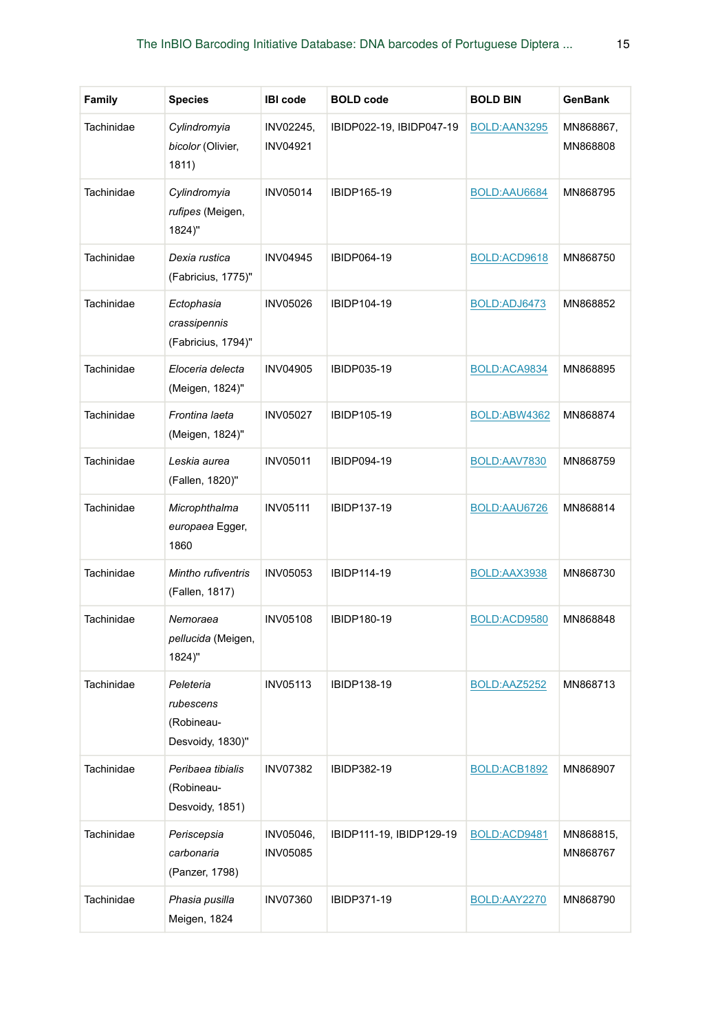| <b>Family</b> | <b>Species</b>                                           | <b>IBI</b> code              | <b>BOLD</b> code         | <b>BOLD BIN</b> | GenBank               |
|---------------|----------------------------------------------------------|------------------------------|--------------------------|-----------------|-----------------------|
| Tachinidae    | Cylindromyia<br>bicolor (Olivier,<br>1811)               | INV02245,<br><b>INV04921</b> | IBIDP022-19, IBIDP047-19 | BOLD:AAN3295    | MN868867,<br>MN868808 |
| Tachinidae    | Cylindromyia<br>rufipes (Meigen,<br>1824)"               | <b>INV05014</b>              | IBIDP165-19              | BOLD:AAU6684    | MN868795              |
| Tachinidae    | Dexia rustica<br>(Fabricius, 1775)"                      | <b>INV04945</b>              | IBIDP064-19              | BOLD:ACD9618    | MN868750              |
| Tachinidae    | Ectophasia<br>crassipennis<br>(Fabricius, 1794)"         | <b>INV05026</b>              | IBIDP104-19              | BOLD:ADJ6473    | MN868852              |
| Tachinidae    | Eloceria delecta<br>(Meigen, 1824)"                      | <b>INV04905</b>              | IBIDP035-19              | BOLD:ACA9834    | MN868895              |
| Tachinidae    | Frontina laeta<br>(Meigen, 1824)"                        | <b>INV05027</b>              | IBIDP105-19              | BOLD:ABW4362    | MN868874              |
| Tachinidae    | Leskia aurea<br>(Fallen, 1820)"                          | <b>INV05011</b>              | <b>IBIDP094-19</b>       | BOLD:AAV7830    | MN868759              |
| Tachinidae    | Microphthalma<br>europaea Egger,<br>1860                 | <b>INV05111</b>              | IBIDP137-19              | BOLD:AAU6726    | MN868814              |
| Tachinidae    | Mintho rufiventris<br>(Fallen, 1817)                     | <b>INV05053</b>              | IBIDP114-19              | BOLD:AAX3938    | MN868730              |
| Tachinidae    | Nemoraea<br><i>pellucida</i> (Meigen,<br>1824)"          | <b>INV05108</b>              | IBIDP180-19              | BOLD:ACD9580    | MN868848              |
| Tachinidae    | Peleteria<br>rubescens<br>(Robineau-<br>Desvoidy, 1830)" | INV05113                     | IBIDP138-19              | BOLD:AAZ5252    | MN868713              |
| Tachinidae    | Peribaea tibialis<br>(Robineau-<br>Desvoidy, 1851)       | <b>INV07382</b>              | IBIDP382-19              | BOLD:ACB1892    | MN868907              |
| Tachinidae    | Periscepsia<br>carbonaria<br>(Panzer, 1798)              | INV05046,<br><b>INV05085</b> | IBIDP111-19, IBIDP129-19 | BOLD:ACD9481    | MN868815,<br>MN868767 |
| Tachinidae    | Phasia pusilla<br>Meigen, 1824                           | <b>INV07360</b>              | IBIDP371-19              | BOLD:AAY2270    | MN868790              |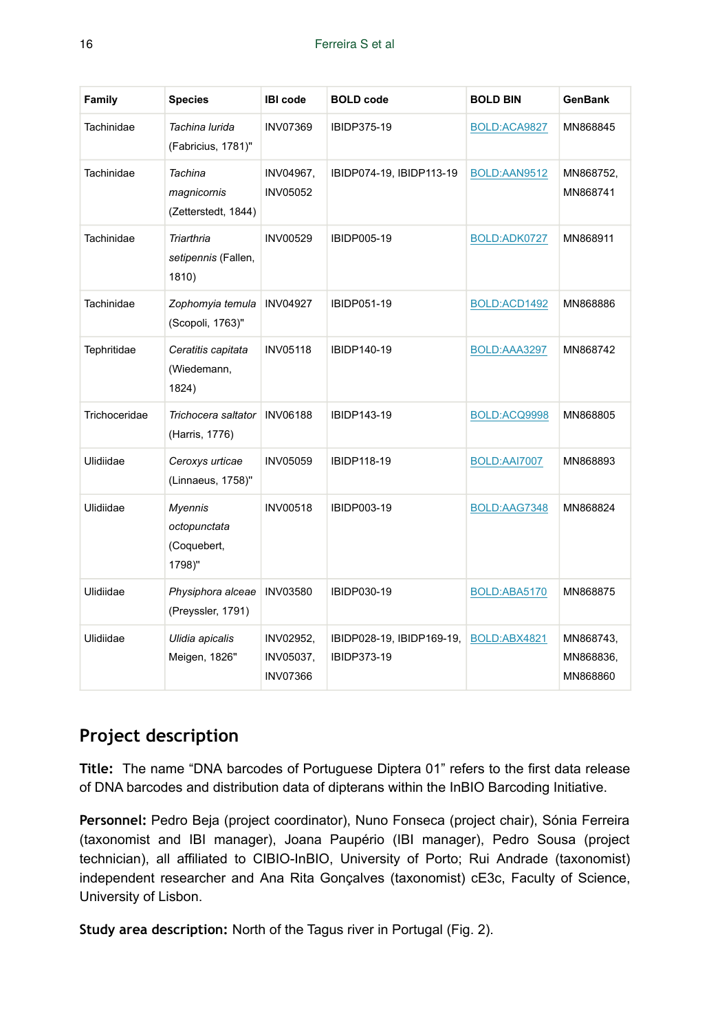| Family        | <b>Species</b>                                          | <b>IBI</b> code                           | <b>BOLD</b> code                         | <b>BOLD BIN</b> | <b>GenBank</b>                     |
|---------------|---------------------------------------------------------|-------------------------------------------|------------------------------------------|-----------------|------------------------------------|
| Tachinidae    | Tachina lurida<br>(Fabricius, 1781)"                    | <b>INV07369</b>                           | IBIDP375-19                              | BOLD:ACA9827    | MN868845                           |
| Tachinidae    | Tachina<br>magnicornis<br>(Zetterstedt, 1844)           | INV04967,<br><b>INV05052</b>              | IBIDP074-19, IBIDP113-19                 | BOLD:AAN9512    | MN868752,<br>MN868741              |
| Tachinidae    | Triarthria<br>setipennis (Fallen,<br>1810)              | <b>INV00529</b>                           | <b>IBIDP005-19</b>                       | BOLD:ADK0727    | MN868911                           |
| Tachinidae    | Zophomyia temula<br>(Scopoli, 1763)"                    | <b>INV04927</b>                           | <b>IBIDP051-19</b>                       | BOLD:ACD1492    | MN868886                           |
| Tephritidae   | Ceratitis capitata<br>(Wiedemann,<br>1824)              | <b>INV05118</b>                           | IBIDP140-19                              | BOLD:AAA3297    | MN868742                           |
| Trichoceridae | Trichocera saltator<br>(Harris, 1776)                   | <b>INV06188</b>                           | IBIDP143-19                              | BOLD:ACQ9998    | MN868805                           |
| Ulidiidae     | Ceroxys urticae<br>(Linnaeus, 1758)"                    | <b>INV05059</b>                           | <b>IBIDP118-19</b>                       | BOLD:AAI7007    | MN868893                           |
| Ulidiidae     | <b>Myennis</b><br>octopunctata<br>(Coquebert,<br>1798)" | <b>INV00518</b>                           | <b>IBIDP003-19</b>                       | BOLD:AAG7348    | MN868824                           |
| Ulidiidae     | Physiphora alceae<br>(Preyssler, 1791)                  | <b>INV03580</b>                           | IBIDP030-19                              | BOLD:ABA5170    | MN868875                           |
| Ulidiidae     | Ulidia apicalis<br>Meigen, 1826"                        | INV02952,<br>INV05037,<br><b>INV07366</b> | IBIDP028-19, IBIDP169-19,<br>IBIDP373-19 | BOLD:ABX4821    | MN868743,<br>MN868836,<br>MN868860 |

# **Project description**

**Title:** The name "DNA barcodes of Portuguese Diptera 01" refers to the first data release of DNA barcodes and distribution data of dipterans within the InBIO Barcoding Initiative.

**Personnel:** Pedro Beja (project coordinator), Nuno Fonseca (project chair), Sónia Ferreira (taxonomist and IBI manager), Joana Paupério (IBI manager), Pedro Sousa (project technician), all affiliated to CIBIO-InBIO, University of Porto; Rui Andrade (taxonomist) independent researcher and Ana Rita Gonçalves (taxonomist) cE3c, Faculty of Science, University of Lisbon.

**Study area description:** North of the Tagus river in Portugal (Fig. 2).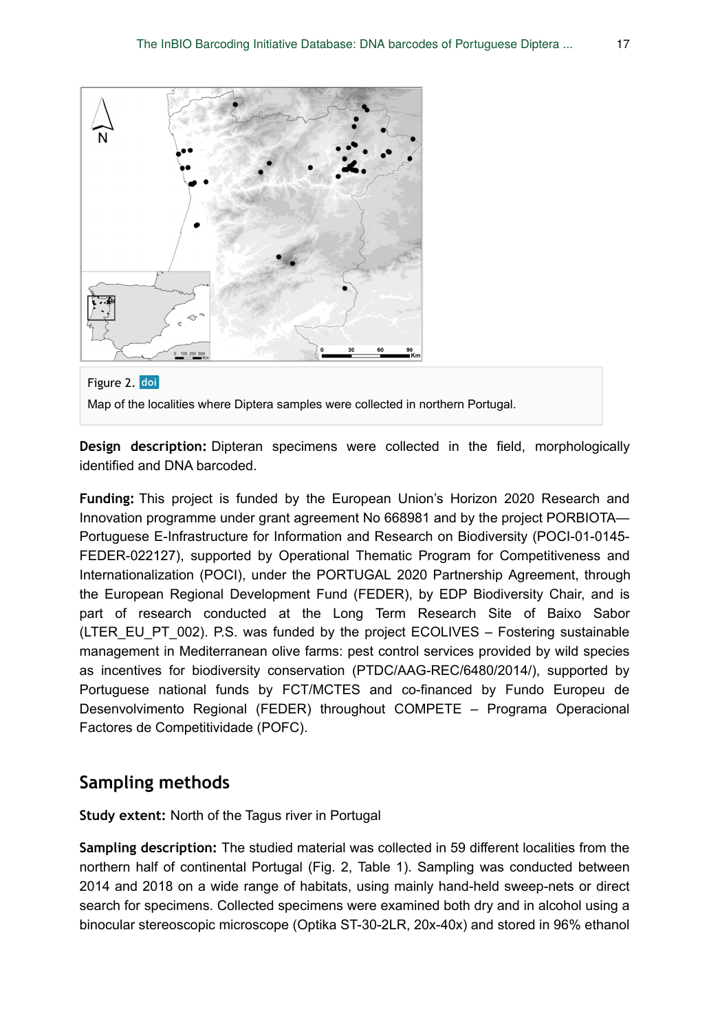



**Design description:** Dipteran specimens were collected in the field, morphologically identified and DNA barcoded.

**Funding:** This project is funded by the European Union's Horizon 2020 Research and Innovation programme under grant agreement No 668981 and by the project PORBIOTA— Portuguese E-Infrastructure for Information and Research on Biodiversity (POCI-01-0145- FEDER-022127), supported by Operational Thematic Program for Competitiveness and Internationalization (POCI), under the PORTUGAL 2020 Partnership Agreement, through the European Regional Development Fund (FEDER), by EDP Biodiversity Chair, and is part of research conducted at the Long Term Research Site of Baixo Sabor (LTER\_EU\_PT\_002). P.S. was funded by the project ECOLIVES – Fostering sustainable management in Mediterranean olive farms: pest control services provided by wild species as incentives for biodiversity conservation (PTDC/AAG-REC/6480/2014/), supported by Portuguese national funds by FCT/MCTES and co-financed by Fundo Europeu de Desenvolvimento Regional (FEDER) throughout COMPETE – Programa Operacional Factores de Competitividade (POFC).

## **Sampling methods**

**Study extent:** North of the Tagus river in Portugal

**Sampling description:** The studied material was collected in 59 different localities from the northern half of continental Portugal (Fig. 2, Table 1). Sampling was conducted between 2014 and 2018 on a wide range of habitats, using mainly hand-held sweep-nets or direct search for specimens. Collected specimens were examined both dry and in alcohol using a binocular stereoscopic microscope (Optika ST-30-2LR, 20x-40x) and stored in 96% ethanol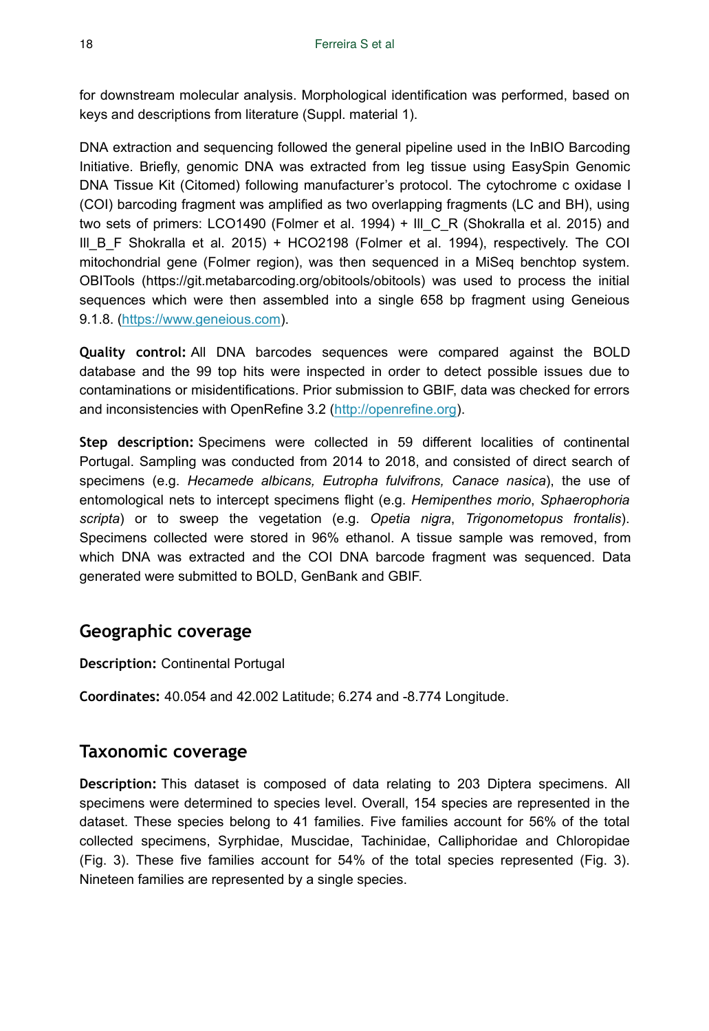for downstream molecular analysis. Morphological identification was performed, based on keys and descriptions from literature (Suppl. material 1).

DNA extraction and sequencing followed the general pipeline used in the InBIO Barcoding Initiative. Briefly, genomic DNA was extracted from leg tissue using EasySpin Genomic DNA Tissue Kit (Citomed) following manufacturer's protocol. The cytochrome c oxidase I (COI) barcoding fragment was amplified as two overlapping fragments (LC and BH), using two sets of primers: LCO1490 (Folmer et al. 1994) + III C R (Shokralla et al. 2015) and III B F Shokralla et al. 2015) + HCO2198 (Folmer et al. 1994), respectively. The COI mitochondrial gene (Folmer region), was then sequenced in a MiSeq benchtop system. OBITools (https://git.metabarcoding.org/obitools/obitools) was used to process the initial sequences which were then assembled into a single 658 bp fragment using Geneious 9.1.8. [\(https://www.geneious.com](https://www.geneious.com)).

**Quality control:** All DNA barcodes sequences were compared against the BOLD database and the 99 top hits were inspected in order to detect possible issues due to contaminations or misidentifications. Prior submission to GBIF, data was checked for errors and inconsistencies with OpenRefine 3.2 ([http://openrefine.org](http://openrefine.org/)).

**Step description:** Specimens were collected in 59 different localities of continental Portugal. Sampling was conducted from 2014 to 2018, and consisted of direct search of specimens (e.g. *Hecamede albicans, Eutropha fulvifrons, Canace nasica*), the use of entomological nets to intercept specimens flight (e.g. *Hemipenthes morio*, *Sphaerophoria scripta*) or to sweep the vegetation (e.g. *Opetia nigra*, *Trigonometopus frontalis*). Specimens collected were stored in 96% ethanol. A tissue sample was removed, from which DNA was extracted and the COI DNA barcode fragment was sequenced. Data generated were submitted to BOLD, GenBank and GBIF.

## **Geographic coverage**

**Description:** Continental Portugal

**Coordinates:** 40.054 and 42.002 Latitude; 6.274 and -8.774 Longitude.

## **Taxonomic coverage**

**Description:** This dataset is composed of data relating to 203 Diptera specimens. All specimens were determined to species level. Overall, 154 species are represented in the dataset. These species belong to 41 families. Five families account for 56% of the total collected specimens, Syrphidae, Muscidae, Tachinidae, Calliphoridae and Chloropidae (Fig. 3). These five families account for 54% of the total species represented (Fig. 3). Nineteen families are represented by a single species.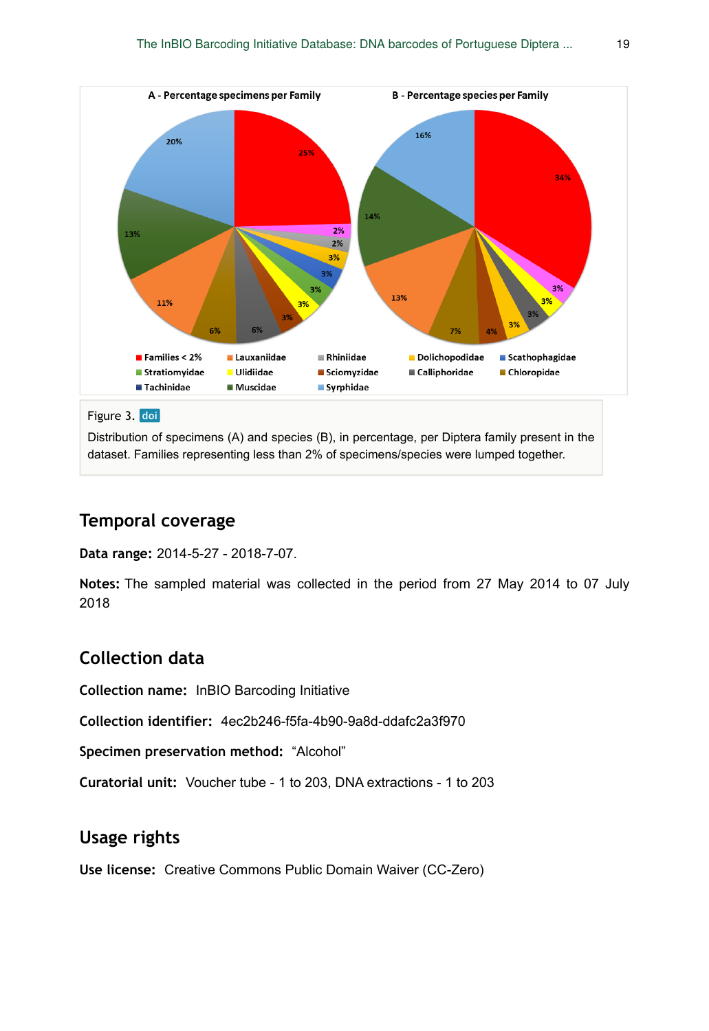

Distribution of specimens (A) and species (B), in percentage, per Diptera family present in the dataset. Families representing less than 2% of specimens/species were lumped together.

# **Temporal coverage**

**Data range:** 2014-5-27 - 2018-7-07.

**Notes:** The sampled material was collected in the period from 27 May 2014 to 07 July 2018

# **Collection data**

**Collection name:** InBIO Barcoding Initiative

**Collection identifier:** 4ec2b246-f5fa-4b90-9a8d-ddafc2a3f970

**Specimen preservation method:** "Alcohol"

**Curatorial unit:** Voucher tube - 1 to 203, DNA extractions - 1 to 203

# **Usage rights**

**Use license:** Creative Commons Public Domain Waiver (CC-Zero)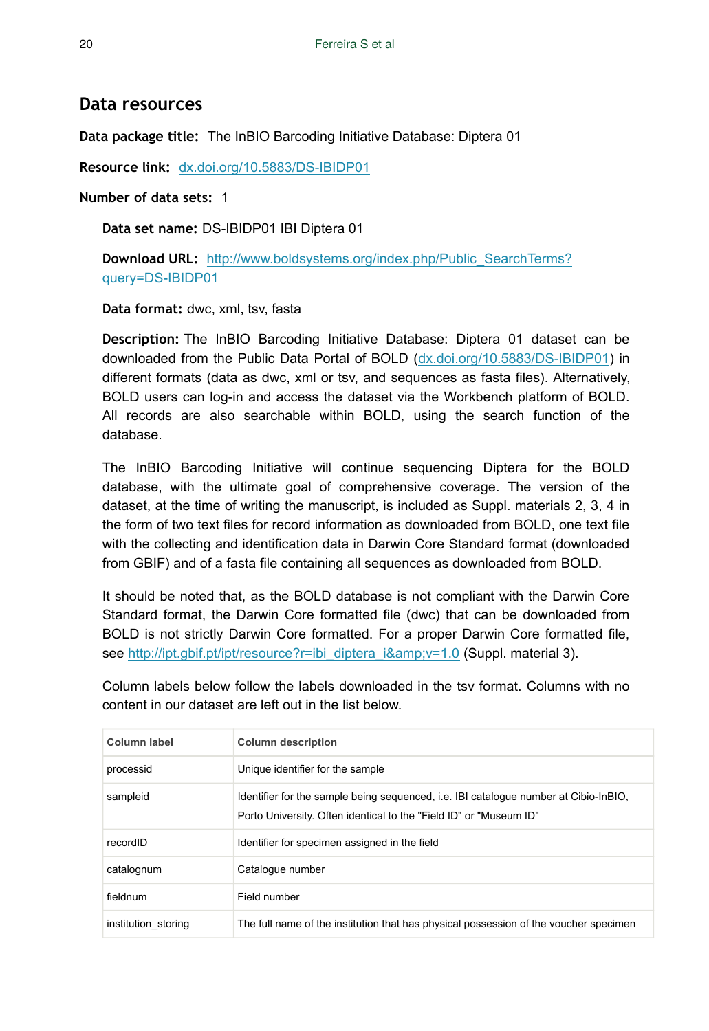## **Data resources**

**Data package title:** The InBIO Barcoding Initiative Database: Diptera 01

**Resource link:** [dx.doi.org/10.5883/DS-IBIDP01](http://dx.doi.org/10.5883/DS-IBIDP01)

**Number of data sets:** 1

**Data set name:** DS-IBIDP01 IBI Diptera 01

**Download URL:** [http://www.boldsystems.org/index.php/Public\\_SearchTerms?](http://www.boldsystems.org/index.php/Public_SearchTerms?query=DS-IBIDP01) [query=DS-IBIDP01](http://www.boldsystems.org/index.php/Public_SearchTerms?query=DS-IBIDP01)

**Data format:** dwc, xml, tsv, fasta

**Description:** The InBIO Barcoding Initiative Database: Diptera 01 dataset can be downloaded from the Public Data Portal of BOLD ([dx.doi.org/10.5883/DS-IBIDP01\)](http://dx.doi.org/10.5883/DS-IBIDP01) in different formats (data as dwc, xml or tsv, and sequences as fasta files). Alternatively, BOLD users can log-in and access the dataset via the Workbench platform of BOLD. All records are also searchable within BOLD, using the search function of the database.

The InBIO Barcoding Initiative will continue sequencing Diptera for the BOLD database, with the ultimate goal of comprehensive coverage. The version of the dataset, at the time of writing the manuscript, is included as Suppl. materials 2, 3, 4 in the form of two text files for record information as downloaded from BOLD, one text file with the collecting and identification data in Darwin Core Standard format (downloaded from GBIF) and of a fasta file containing all sequences as downloaded from BOLD.

It should be noted that, as the BOLD database is not compliant with the Darwin Core Standard format, the Darwin Core formatted file (dwc) that can be downloaded from BOLD is not strictly Darwin Core formatted. For a proper Darwin Core formatted file, see [http://ipt.gbif.pt/ipt/resource?r=ibi\\_diptera\\_i&v=1.0](http://ipt.gbif.pt/ipt/resource?r=ibi_diptera_i&v=1.0) (Suppl. material 3).

Column labels below follow the labels downloaded in the tsv format. Columns with no content in our dataset are left out in the list below.

| Column label        | <b>Column description</b>                                                                                                                                  |
|---------------------|------------------------------------------------------------------------------------------------------------------------------------------------------------|
| processid           | Unique identifier for the sample                                                                                                                           |
| sampleid            | Identifier for the sample being sequenced, i.e. IBI catalogue number at Cibio-InBIO,<br>Porto University. Often identical to the "Field ID" or "Museum ID" |
| recordID            | Identifier for specimen assigned in the field                                                                                                              |
| catalognum          | Catalogue number                                                                                                                                           |
| fieldnum            | Field number                                                                                                                                               |
| institution storing | The full name of the institution that has physical possession of the voucher specimen                                                                      |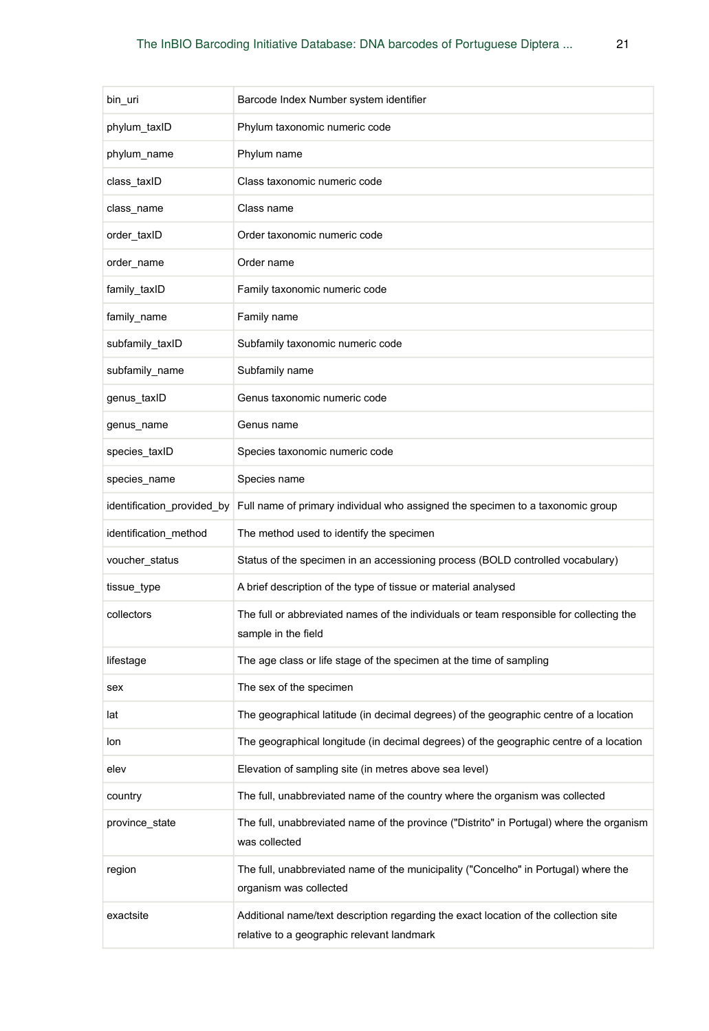| bin_uri                    | Barcode Index Number system identifier                                                                                             |
|----------------------------|------------------------------------------------------------------------------------------------------------------------------------|
| phylum taxID               | Phylum taxonomic numeric code                                                                                                      |
| phylum_name                | Phylum name                                                                                                                        |
| class taxID                | Class taxonomic numeric code                                                                                                       |
| class_name                 | Class name                                                                                                                         |
| order taxID                | Order taxonomic numeric code                                                                                                       |
| order_name                 | Order name                                                                                                                         |
| family_taxID               | Family taxonomic numeric code                                                                                                      |
| family_name                | Family name                                                                                                                        |
| subfamily_taxID            | Subfamily taxonomic numeric code                                                                                                   |
| subfamily_name             | Subfamily name                                                                                                                     |
| genus_taxID                | Genus taxonomic numeric code                                                                                                       |
| genus name                 | Genus name                                                                                                                         |
| species_taxID              | Species taxonomic numeric code                                                                                                     |
| species_name               | Species name                                                                                                                       |
| identification_provided_by | Full name of primary individual who assigned the specimen to a taxonomic group                                                     |
| identification_method      | The method used to identify the specimen                                                                                           |
| voucher_status             | Status of the specimen in an accessioning process (BOLD controlled vocabulary)                                                     |
| tissue_type                | A brief description of the type of tissue or material analysed                                                                     |
| collectors                 | The full or abbreviated names of the individuals or team responsible for collecting the<br>sample in the field                     |
| lifestage                  | The age class or life stage of the specimen at the time of sampling                                                                |
| sex                        | The sex of the specimen                                                                                                            |
| lat                        | The geographical latitude (in decimal degrees) of the geographic centre of a location                                              |
| lon                        | The geographical longitude (in decimal degrees) of the geographic centre of a location                                             |
| elev                       | Elevation of sampling site (in metres above sea level)                                                                             |
| country                    | The full, unabbreviated name of the country where the organism was collected                                                       |
| province state             | The full, unabbreviated name of the province ("Distrito" in Portugal) where the organism<br>was collected                          |
| region                     | The full, unabbreviated name of the municipality ("Concelho" in Portugal) where the<br>organism was collected                      |
| exactsite                  | Additional name/text description regarding the exact location of the collection site<br>relative to a geographic relevant landmark |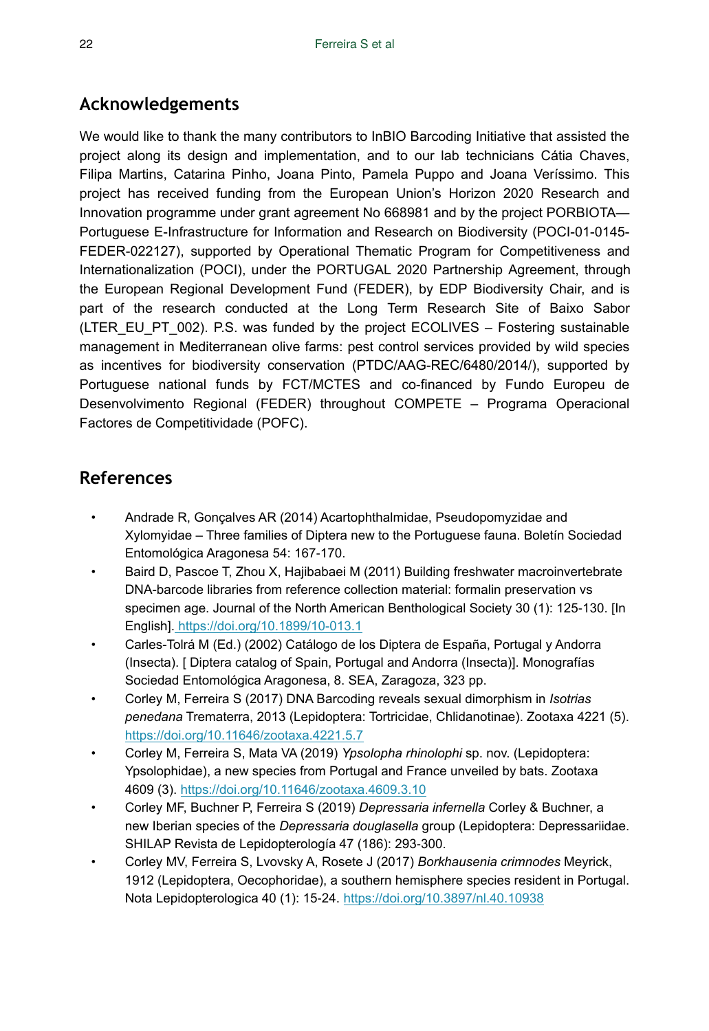# **Acknowledgements**

We would like to thank the many contributors to InBIO Barcoding Initiative that assisted the project along its design and implementation, and to our lab technicians Cátia Chaves, Filipa Martins, Catarina Pinho, Joana Pinto, Pamela Puppo and Joana Veríssimo. This project has received funding from the European Union's Horizon 2020 Research and Innovation programme under grant agreement No 668981 and by the project PORBIOTA— Portuguese E-Infrastructure for Information and Research on Biodiversity (POCI-01-0145- FEDER-022127), supported by Operational Thematic Program for Competitiveness and Internationalization (POCI), under the PORTUGAL 2020 Partnership Agreement, through the European Regional Development Fund (FEDER), by EDP Biodiversity Chair, and is part of the research conducted at the Long Term Research Site of Baixo Sabor (LTER\_EU\_PT\_002). P.S. was funded by the project ECOLIVES – Fostering sustainable management in Mediterranean olive farms: pest control services provided by wild species as incentives for biodiversity conservation (PTDC/AAG-REC/6480/2014/), supported by Portuguese national funds by FCT/MCTES and co-financed by Fundo Europeu de Desenvolvimento Regional (FEDER) throughout COMPETE – Programa Operacional Factores de Competitividade (POFC).

# **References**

- Andrade R, Gonçalves AR (2014) Acartophthalmidae, Pseudopomyzidae and Xylomyidae – Three families of Diptera new to the Portuguese fauna. Boletín Sociedad Entomológica Aragonesa 54: 167‑170.
- Baird D, Pascoe T, Zhou X, Hajibabaei M (2011) Building freshwater macroinvertebrate DNA-barcode libraries from reference collection material: formalin preservation vs specimen age. Journal of the North American Benthological Society 30 (1): 125-130. [In English][. https://doi.org/10.1899/10-013.1](https://doi.org/10.1899/10-013.1)
- Carles-Tolrá M (Ed.) (2002) Catálogo de los Diptera de España, Portugal y Andorra (Insecta). [ Diptera catalog of Spain, Portugal and Andorra (Insecta)]. Monografías Sociedad Entomológica Aragonesa, 8. SEA, Zaragoza, 323 pp.
- Corley M, Ferreira S (2017) DNA Barcoding reveals sexual dimorphism in *Isotrias penedana* Trematerra, 2013 (Lepidoptera: Tortricidae, Chlidanotinae). Zootaxa 4221 (5). <https://doi.org/10.11646/zootaxa.4221.5.7>
- Corley M, Ferreira S, Mata VA (2019) *Ypsolopha rhinolophi* sp. nov. (Lepidoptera: Ypsolophidae), a new species from Portugal and France unveiled by bats. Zootaxa 4609 (3).<https://doi.org/10.11646/zootaxa.4609.3.10>
- Corley MF, Buchner P, Ferreira S (2019) *Depressaria infernella* Corley & Buchner, a new Iberian species of the *Depressaria douglasella* group (Lepidoptera: Depressariidae. SHILAP Revista de Lepidopterología 47 (186): 293-300.
- Corley MV, Ferreira S, Lvovsky A, Rosete J (2017) *Borkhausenia crimnodes* Meyrick, 1912 (Lepidoptera, Oecophoridae), a southern hemisphere species resident in Portugal. Nota Lepidopterologica 40 (1): 15‑24.<https://doi.org/10.3897/nl.40.10938>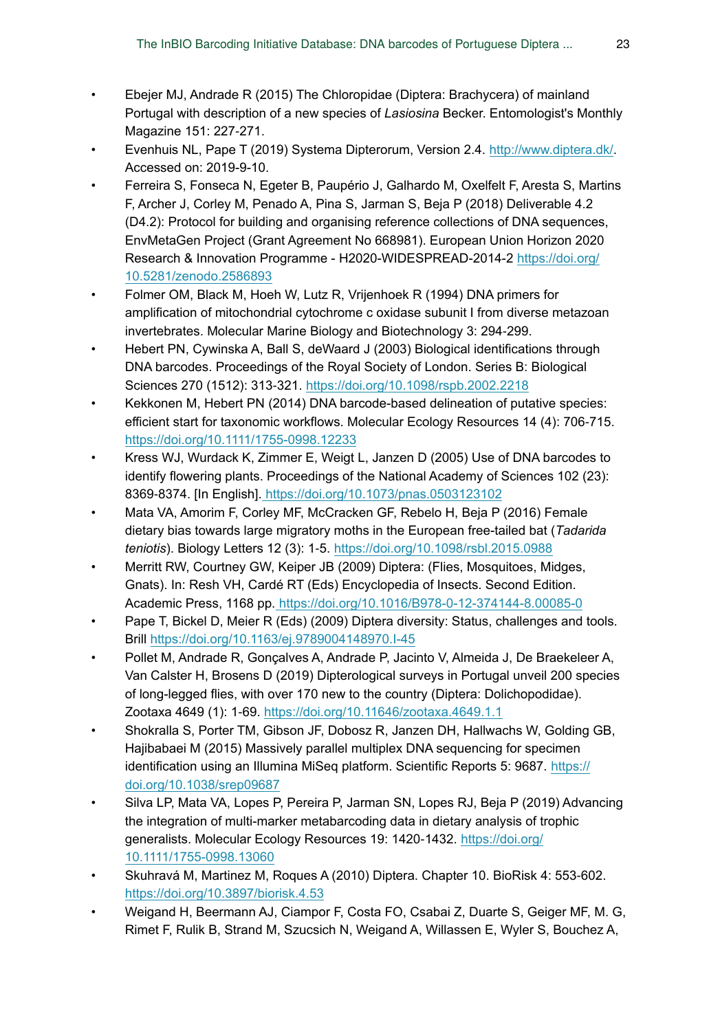- Ebejer MJ, Andrade R (2015) The Chloropidae (Diptera: Brachycera) of mainland Portugal with description of a new species of *Lasiosina* Becker. Entomologist's Monthly Magazine 151: 227‑271.
- Evenhuis NL, Pape T (2019) Systema Dipterorum, Version 2.4. <http://www.diptera.dk/>. Accessed on: 2019-9-10.
- Ferreira S, Fonseca N, Egeter B, Paupério J, Galhardo M, Oxelfelt F, Aresta S, Martins F, Archer J, Corley M, Penado A, Pina S, Jarman S, Beja P (2018) Deliverable 4.2 (D4.2): Protocol for building and organising reference collections of DNA sequences, EnvMetaGen Project (Grant Agreement No 668981). European Union Horizon 2020 Research & Innovation Programme - H2020-WIDESPREAD-2014-2 [https://doi.org/](https://doi.org/10.5281/zenodo.2586893) [10.5281/zenodo.2586893](https://doi.org/10.5281/zenodo.2586893)
- Folmer OM, Black M, Hoeh W, Lutz R, Vrijenhoek R (1994) DNA primers for amplification of mitochondrial cytochrome c oxidase subunit I from diverse metazoan invertebrates. Molecular Marine Biology and Biotechnology 3: 294‑299.
- Hebert PN, Cywinska A, Ball S, deWaard J (2003) Biological identifications through DNA barcodes. Proceedings of the Royal Society of London. Series B: Biological Sciences 270 (1512): 313‑321. <https://doi.org/10.1098/rspb.2002.2218>
- Kekkonen M, Hebert PN (2014) DNA barcode-based delineation of putative species: efficient start for taxonomic workflows. Molecular Ecology Resources 14 (4): 706-715. <https://doi.org/10.1111/1755-0998.12233>
- Kress WJ, Wurdack K, Zimmer E, Weigt L, Janzen D (2005) Use of DNA barcodes to identify flowering plants. Proceedings of the National Academy of Sciences 102 (23): 8369‑8374. [In English].<https://doi.org/10.1073/pnas.0503123102>
- Mata VA, Amorim F, Corley MF, McCracken GF, Rebelo H, Beja P (2016) Female dietary bias towards large migratory moths in the European free-tailed bat (*Тadarida teniotis*). Biology Letters 12 (3): 1‑5.<https://doi.org/10.1098/rsbl.2015.0988>
- Merritt RW, Courtney GW, Keiper JB (2009) Diptera: (Flies, Mosquitoes, Midges, Gnats). In: Resh VH, Cardé RT (Eds) Encyclopedia of Insects. Second Edition. Academic Press, 1168 pp.<https://doi.org/10.1016/B978-0-12-374144-8.00085-0>
- Pape T, Bickel D, Meier R (Eds) (2009) Diptera diversity: Status, challenges and tools. Brill<https://doi.org/10.1163/ej.9789004148970.I-45>
- Pollet M, Andrade R, Gonçalves A, Andrade P, Jacinto V, Almeida J, De Braekeleer A, Van Calster H, Brosens D (2019) Dipterological surveys in Portugal unveil 200 species of long-legged flies, with over 170 new to the country (Diptera: Dolichopodidae). Zootaxa 4649 (1): 1‑69.<https://doi.org/10.11646/zootaxa.4649.1.1>
- Shokralla S, Porter TM, Gibson JF, Dobosz R, Janzen DH, Hallwachs W, Golding GB, Hajibabaei M (2015) Massively parallel multiplex DNA sequencing for specimen identification using an Illumina MiSeq platform. Scientific Reports 5: 9687. [https://](https://doi.org/10.1038/srep09687) [doi.org/10.1038/srep09687](https://doi.org/10.1038/srep09687)
- Silva LP, Mata VA, Lopes P, Pereira P, Jarman SN, Lopes RJ, Beja P (2019) Advancing the integration of multi-marker metabarcoding data in dietary analysis of trophic generalists. Molecular Ecology Resources 19: 1420-1432. [https://doi.org/](https://doi.org/10.1111/1755-0998.13060) [10.1111/1755-0998.13060](https://doi.org/10.1111/1755-0998.13060)
- Skuhravá M, Martinez M, Roques A (2010) Diptera. Chapter 10. BioRisk 4: 553‑602. <https://doi.org/10.3897/biorisk.4.53>
- Weigand H, Beermann AJ, Ciampor F, Costa FO, Csabai Z, Duarte S, Geiger MF, M. G, Rimet F, Rulik B, Strand M, Szucsich N, Weigand A, Willassen E, Wyler S, Bouchez A,